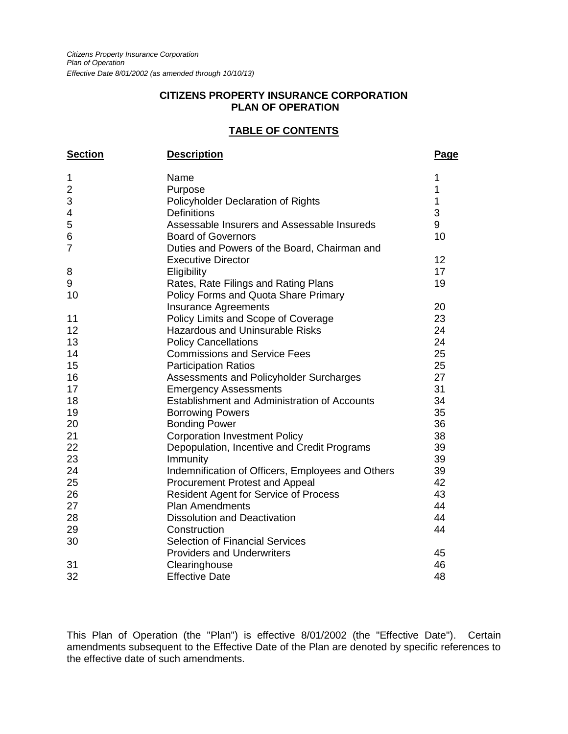#### **CITIZENS PROPERTY INSURANCE CORPORATION PLAN OF OPERATION**

## **TABLE OF CONTENTS**

| <b>Section</b>          | <b>Description</b>                                  | Page        |
|-------------------------|-----------------------------------------------------|-------------|
| 1                       | Name                                                | 1           |
| $\overline{\mathbf{c}}$ | Purpose                                             | 1           |
| 3                       | Policyholder Declaration of Rights                  | $\mathbf 1$ |
| 4                       | <b>Definitions</b>                                  | 3           |
| 5                       | Assessable Insurers and Assessable Insureds         | 9           |
| 6                       | <b>Board of Governors</b>                           | 10          |
| $\overline{7}$          | Duties and Powers of the Board, Chairman and        |             |
|                         | <b>Executive Director</b>                           | 12          |
| 8                       | Eligibility                                         | 17          |
| 9                       | Rates, Rate Filings and Rating Plans                | 19          |
| 10                      | Policy Forms and Quota Share Primary                |             |
|                         | <b>Insurance Agreements</b>                         | 20          |
| 11                      | Policy Limits and Scope of Coverage                 | 23          |
| 12                      | <b>Hazardous and Uninsurable Risks</b>              | 24          |
| 13                      | <b>Policy Cancellations</b>                         | 24          |
| 14                      | <b>Commissions and Service Fees</b>                 | 25          |
| 15                      | <b>Participation Ratios</b>                         | 25          |
| 16                      | Assessments and Policyholder Surcharges             | 27          |
| 17                      | <b>Emergency Assessments</b>                        | 31          |
| 18                      | <b>Establishment and Administration of Accounts</b> | 34          |
| 19                      | <b>Borrowing Powers</b>                             | 35          |
| 20                      | <b>Bonding Power</b>                                | 36          |
| 21                      | <b>Corporation Investment Policy</b>                | 38          |
| 22                      | Depopulation, Incentive and Credit Programs         | 39          |
| 23                      | Immunity                                            | 39          |
| 24                      | Indemnification of Officers, Employees and Others   | 39          |
| 25                      | Procurement Protest and Appeal                      | 42          |
| 26                      | <b>Resident Agent for Service of Process</b>        | 43          |
| 27                      | <b>Plan Amendments</b>                              | 44          |
| 28                      | <b>Dissolution and Deactivation</b>                 | 44          |
| 29                      | Construction                                        | 44          |
| 30                      | <b>Selection of Financial Services</b>              |             |
|                         | <b>Providers and Underwriters</b>                   | 45          |
| 31                      | Clearinghouse                                       | 46          |
| 32                      | <b>Effective Date</b>                               | 48          |

This Plan of Operation (the "Plan") is effective 8/01/2002 (the "Effective Date"). Certain amendments subsequent to the Effective Date of the Plan are denoted by specific references to the effective date of such amendments.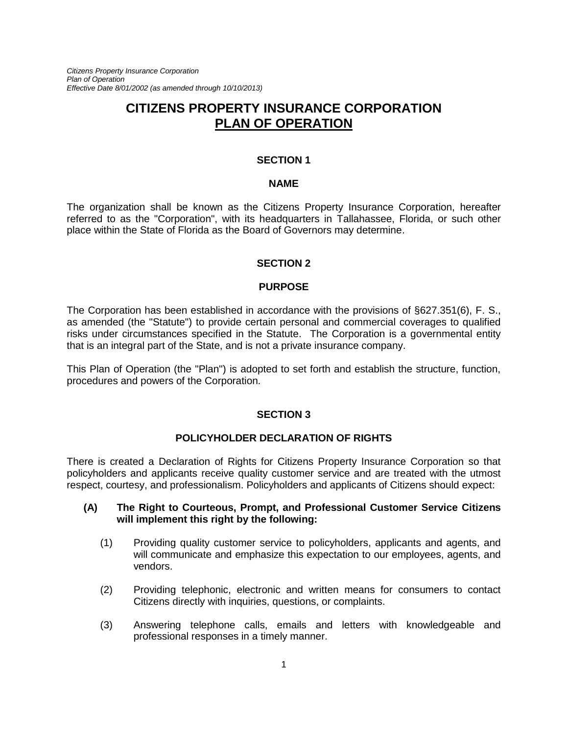*Citizens Property Insurance Corporation Plan of Operation Effective Date 8/01/2002 (as amended through 10/10/2013)*

# **CITIZENS PROPERTY INSURANCE CORPORATION PLAN OF OPERATION**

#### **SECTION 1**

#### **NAME**

The organization shall be known as the Citizens Property Insurance Corporation, hereafter referred to as the "Corporation", with its headquarters in Tallahassee, Florida, or such other place within the State of Florida as the Board of Governors may determine.

#### **SECTION 2**

#### **PURPOSE**

The Corporation has been established in accordance with the provisions of §627.351(6), F. S., as amended (the "Statute") to provide certain personal and commercial coverages to qualified risks under circumstances specified in the Statute. The Corporation is a governmental entity that is an integral part of the State, and is not a private insurance company.

This Plan of Operation (the "Plan") is adopted to set forth and establish the structure, function, procedures and powers of the Corporation.

#### **SECTION 3**

#### **POLICYHOLDER DECLARATION OF RIGHTS**

There is created a Declaration of Rights for Citizens Property Insurance Corporation so that policyholders and applicants receive quality customer service and are treated with the utmost respect, courtesy, and professionalism. Policyholders and applicants of Citizens should expect:

#### **(A) The Right to Courteous, Prompt, and Professional Customer Service Citizens will implement this right by the following:**

- (1) Providing quality customer service to policyholders, applicants and agents, and will communicate and emphasize this expectation to our employees, agents, and vendors.
- (2) Providing telephonic, electronic and written means for consumers to contact Citizens directly with inquiries, questions, or complaints.
- (3) Answering telephone calls, emails and letters with knowledgeable and professional responses in a timely manner.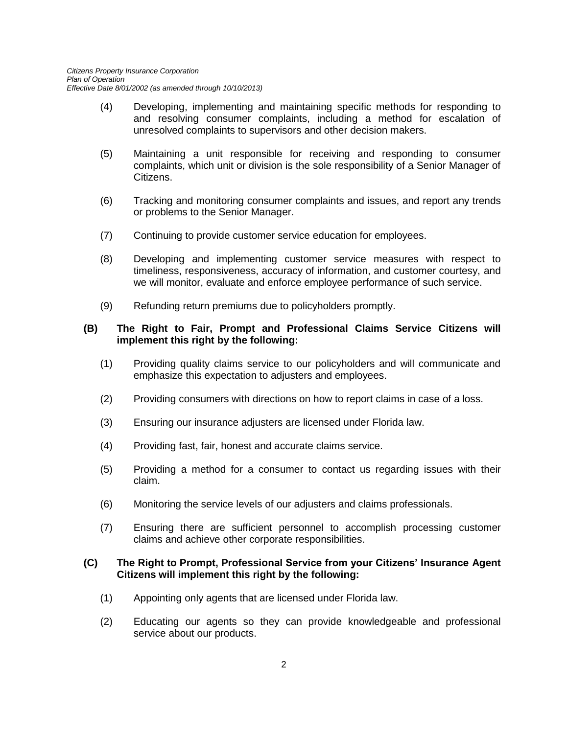- (4) Developing, implementing and maintaining specific methods for responding to and resolving consumer complaints, including a method for escalation of unresolved complaints to supervisors and other decision makers.
- (5) Maintaining a unit responsible for receiving and responding to consumer complaints, which unit or division is the sole responsibility of a Senior Manager of Citizens.
- (6) Tracking and monitoring consumer complaints and issues, and report any trends or problems to the Senior Manager.
- (7) Continuing to provide customer service education for employees.
- (8) Developing and implementing customer service measures with respect to timeliness, responsiveness, accuracy of information, and customer courtesy, and we will monitor, evaluate and enforce employee performance of such service.
- (9) Refunding return premiums due to policyholders promptly.

#### **(B) The Right to Fair, Prompt and Professional Claims Service Citizens will implement this right by the following:**

- (1) Providing quality claims service to our policyholders and will communicate and emphasize this expectation to adjusters and employees.
- (2) Providing consumers with directions on how to report claims in case of a loss.
- (3) Ensuring our insurance adjusters are licensed under Florida law.
- (4) Providing fast, fair, honest and accurate claims service.
- (5) Providing a method for a consumer to contact us regarding issues with their claim.
- (6) Monitoring the service levels of our adjusters and claims professionals.
- (7) Ensuring there are sufficient personnel to accomplish processing customer claims and achieve other corporate responsibilities.

#### **(C) The Right to Prompt, Professional Service from your Citizens' Insurance Agent Citizens will implement this right by the following:**

- (1) Appointing only agents that are licensed under Florida law.
- (2) Educating our agents so they can provide knowledgeable and professional service about our products.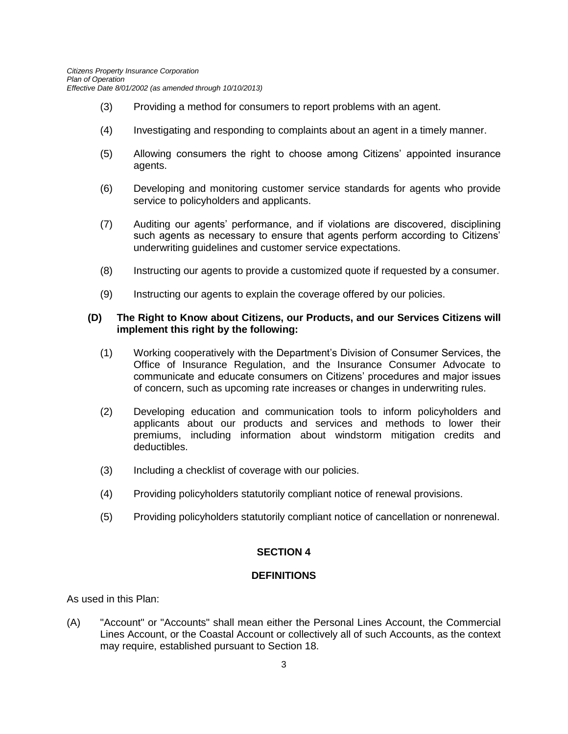- (3) Providing a method for consumers to report problems with an agent.
- (4) Investigating and responding to complaints about an agent in a timely manner.
- (5) Allowing consumers the right to choose among Citizens' appointed insurance agents.
- (6) Developing and monitoring customer service standards for agents who provide service to policyholders and applicants.
- (7) Auditing our agents' performance, and if violations are discovered, disciplining such agents as necessary to ensure that agents perform according to Citizens' underwriting guidelines and customer service expectations.
- (8) Instructing our agents to provide a customized quote if requested by a consumer.
- (9) Instructing our agents to explain the coverage offered by our policies.

#### **(D) The Right to Know about Citizens, our Products, and our Services Citizens will implement this right by the following:**

- (1) Working cooperatively with the Department's Division of Consumer Services, the Office of Insurance Regulation, and the Insurance Consumer Advocate to communicate and educate consumers on Citizens' procedures and major issues of concern, such as upcoming rate increases or changes in underwriting rules.
- (2) Developing education and communication tools to inform policyholders and applicants about our products and services and methods to lower their premiums, including information about windstorm mitigation credits and deductibles.
- (3) Including a checklist of coverage with our policies.
- (4) Providing policyholders statutorily compliant notice of renewal provisions.
- (5) Providing policyholders statutorily compliant notice of cancellation or nonrenewal.

#### **SECTION 4**

#### **DEFINITIONS**

As used in this Plan:

(A) "Account" or "Accounts" shall mean either the Personal Lines Account, the Commercial Lines Account, or the Coastal Account or collectively all of such Accounts, as the context may require, established pursuant to Section 18.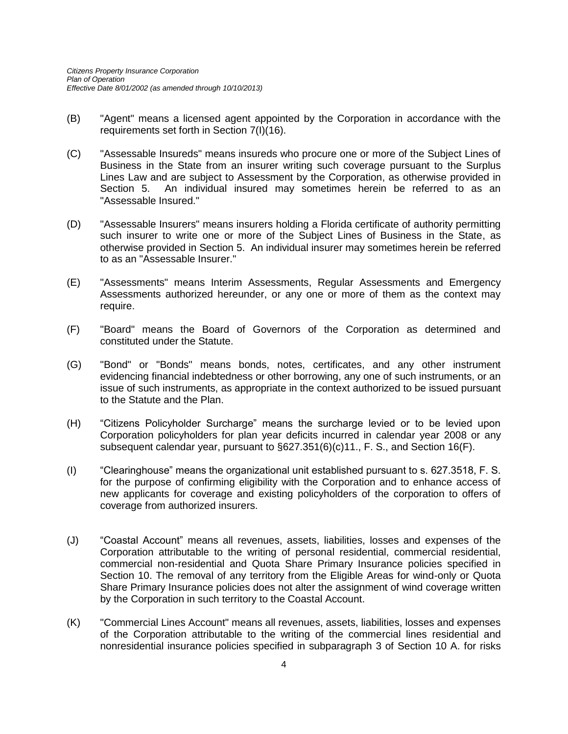- (B) "Agent" means a licensed agent appointed by the Corporation in accordance with the requirements set forth in Section 7(I)(16).
- (C) "Assessable Insureds" means insureds who procure one or more of the Subject Lines of Business in the State from an insurer writing such coverage pursuant to the Surplus Lines Law and are subject to Assessment by the Corporation, as otherwise provided in Section 5. An individual insured may sometimes herein be referred to as an "Assessable Insured."
- (D) "Assessable Insurers" means insurers holding a Florida certificate of authority permitting such insurer to write one or more of the Subject Lines of Business in the State, as otherwise provided in Section 5. An individual insurer may sometimes herein be referred to as an "Assessable Insurer."
- (E) "Assessments" means Interim Assessments, Regular Assessments and Emergency Assessments authorized hereunder, or any one or more of them as the context may require.
- (F) "Board" means the Board of Governors of the Corporation as determined and constituted under the Statute.
- (G) "Bond" or "Bonds" means bonds, notes, certificates, and any other instrument evidencing financial indebtedness or other borrowing, any one of such instruments, or an issue of such instruments, as appropriate in the context authorized to be issued pursuant to the Statute and the Plan.
- (H) "Citizens Policyholder Surcharge" means the surcharge levied or to be levied upon Corporation policyholders for plan year deficits incurred in calendar year 2008 or any subsequent calendar year, pursuant to §627.351(6)(c)11., F. S., and Section 16(F).
- (I) "Clearinghouse" means the organizational unit established pursuant to s. 627.3518, F. S. for the purpose of confirming eligibility with the Corporation and to enhance access of new applicants for coverage and existing policyholders of the corporation to offers of coverage from authorized insurers.
- (J) "Coastal Account" means all revenues, assets, liabilities, losses and expenses of the Corporation attributable to the writing of personal residential, commercial residential, commercial non-residential and Quota Share Primary Insurance policies specified in Section 10. The removal of any territory from the Eligible Areas for wind-only or Quota Share Primary Insurance policies does not alter the assignment of wind coverage written by the Corporation in such territory to the Coastal Account.
- (K) "Commercial Lines Account" means all revenues, assets, liabilities, losses and expenses of the Corporation attributable to the writing of the commercial lines residential and nonresidential insurance policies specified in subparagraph 3 of Section 10 A. for risks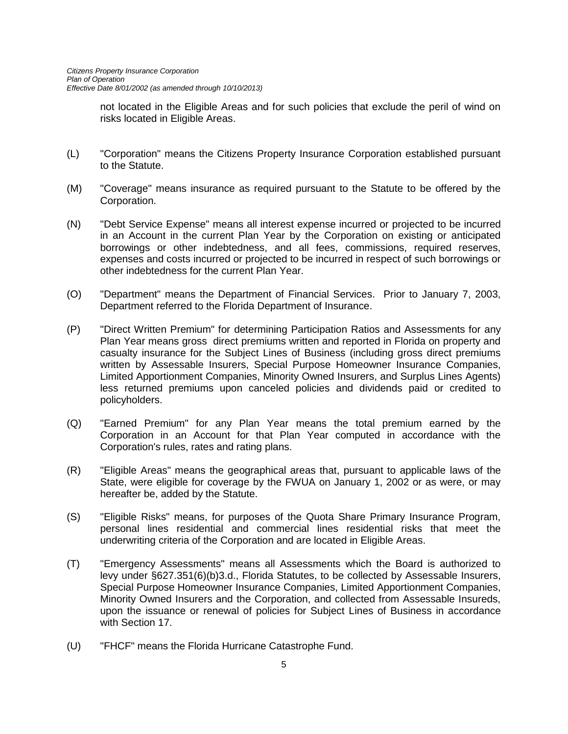not located in the Eligible Areas and for such policies that exclude the peril of wind on risks located in Eligible Areas.

- (L) "Corporation" means the Citizens Property Insurance Corporation established pursuant to the Statute.
- (M) "Coverage" means insurance as required pursuant to the Statute to be offered by the Corporation.
- (N) "Debt Service Expense" means all interest expense incurred or projected to be incurred in an Account in the current Plan Year by the Corporation on existing or anticipated borrowings or other indebtedness, and all fees, commissions, required reserves, expenses and costs incurred or projected to be incurred in respect of such borrowings or other indebtedness for the current Plan Year.
- (O) "Department" means the Department of Financial Services. Prior to January 7, 2003, Department referred to the Florida Department of Insurance.
- (P) "Direct Written Premium" for determining Participation Ratios and Assessments for any Plan Year means gross direct premiums written and reported in Florida on property and casualty insurance for the Subject Lines of Business (including gross direct premiums written by Assessable Insurers, Special Purpose Homeowner Insurance Companies, Limited Apportionment Companies, Minority Owned Insurers, and Surplus Lines Agents) less returned premiums upon canceled policies and dividends paid or credited to policyholders.
- (Q) "Earned Premium" for any Plan Year means the total premium earned by the Corporation in an Account for that Plan Year computed in accordance with the Corporation's rules, rates and rating plans.
- (R) "Eligible Areas" means the geographical areas that, pursuant to applicable laws of the State, were eligible for coverage by the FWUA on January 1, 2002 or as were, or may hereafter be, added by the Statute.
- (S) "Eligible Risks" means, for purposes of the Quota Share Primary Insurance Program, personal lines residential and commercial lines residential risks that meet the underwriting criteria of the Corporation and are located in Eligible Areas.
- (T) "Emergency Assessments" means all Assessments which the Board is authorized to levy under §627.351(6)(b)3.d., Florida Statutes, to be collected by Assessable Insurers, Special Purpose Homeowner Insurance Companies, Limited Apportionment Companies, Minority Owned Insurers and the Corporation, and collected from Assessable Insureds, upon the issuance or renewal of policies for Subject Lines of Business in accordance with Section 17.
- (U) "FHCF" means the Florida Hurricane Catastrophe Fund.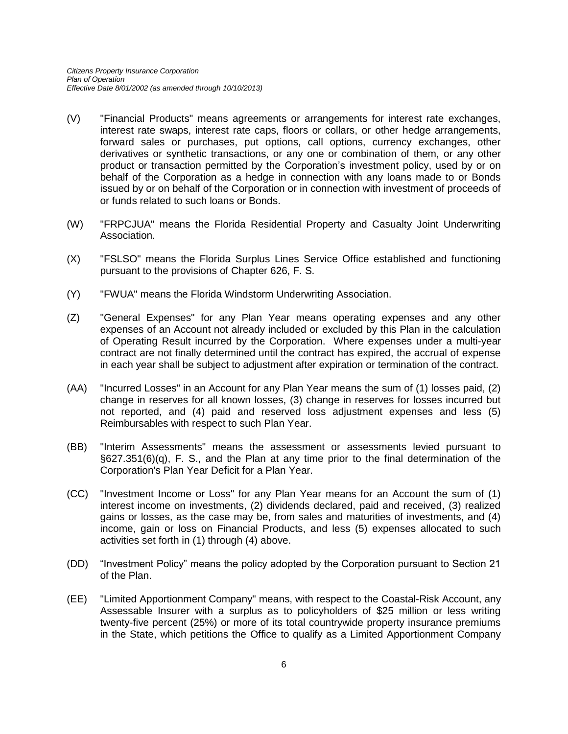- (V) "Financial Products" means agreements or arrangements for interest rate exchanges, interest rate swaps, interest rate caps, floors or collars, or other hedge arrangements, forward sales or purchases, put options, call options, currency exchanges, other derivatives or synthetic transactions, or any one or combination of them, or any other product or transaction permitted by the Corporation's investment policy, used by or on behalf of the Corporation as a hedge in connection with any loans made to or Bonds issued by or on behalf of the Corporation or in connection with investment of proceeds of or funds related to such loans or Bonds.
- (W) "FRPCJUA" means the Florida Residential Property and Casualty Joint Underwriting Association.
- (X) "FSLSO" means the Florida Surplus Lines Service Office established and functioning pursuant to the provisions of Chapter 626, F. S.
- (Y) "FWUA" means the Florida Windstorm Underwriting Association.
- (Z) "General Expenses" for any Plan Year means operating expenses and any other expenses of an Account not already included or excluded by this Plan in the calculation of Operating Result incurred by the Corporation. Where expenses under a multi-year contract are not finally determined until the contract has expired, the accrual of expense in each year shall be subject to adjustment after expiration or termination of the contract.
- (AA) "Incurred Losses" in an Account for any Plan Year means the sum of (1) losses paid, (2) change in reserves for all known losses, (3) change in reserves for losses incurred but not reported, and (4) paid and reserved loss adjustment expenses and less (5) Reimbursables with respect to such Plan Year.
- (BB) "Interim Assessments" means the assessment or assessments levied pursuant to §627.351(6)(q), F. S., and the Plan at any time prior to the final determination of the Corporation's Plan Year Deficit for a Plan Year.
- (CC) "Investment Income or Loss" for any Plan Year means for an Account the sum of (1) interest income on investments, (2) dividends declared, paid and received, (3) realized gains or losses, as the case may be, from sales and maturities of investments, and (4) income, gain or loss on Financial Products, and less (5) expenses allocated to such activities set forth in (1) through (4) above.
- (DD) "Investment Policy" means the policy adopted by the Corporation pursuant to Section 21 of the Plan.
- (EE) "Limited Apportionment Company" means, with respect to the Coastal-Risk Account, any Assessable Insurer with a surplus as to policyholders of \$25 million or less writing twenty-five percent (25%) or more of its total countrywide property insurance premiums in the State, which petitions the Office to qualify as a Limited Apportionment Company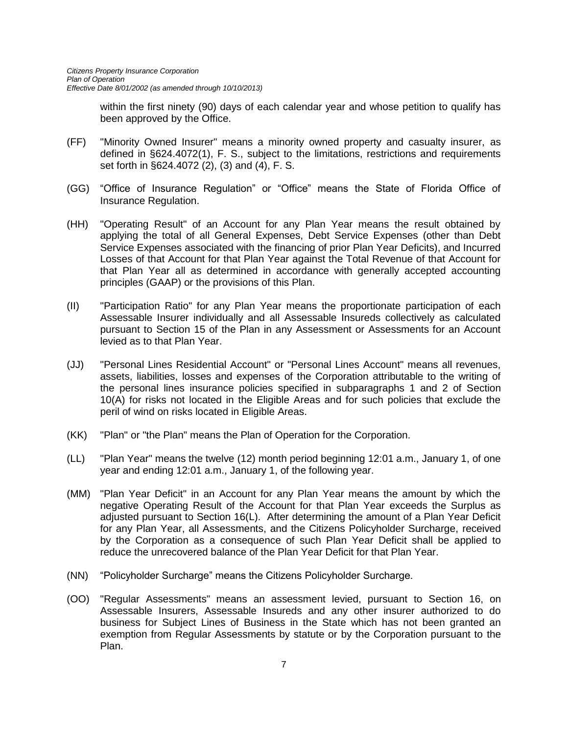within the first ninety (90) days of each calendar year and whose petition to qualify has been approved by the Office.

- (FF) "Minority Owned Insurer" means a minority owned property and casualty insurer, as defined in §624.4072(1), F. S., subject to the limitations, restrictions and requirements set forth in §624.4072 (2), (3) and (4), F. S.
- (GG) "Office of Insurance Regulation" or "Office" means the State of Florida Office of Insurance Regulation.
- (HH) "Operating Result" of an Account for any Plan Year means the result obtained by applying the total of all General Expenses, Debt Service Expenses (other than Debt Service Expenses associated with the financing of prior Plan Year Deficits), and Incurred Losses of that Account for that Plan Year against the Total Revenue of that Account for that Plan Year all as determined in accordance with generally accepted accounting principles (GAAP) or the provisions of this Plan.
- (II) "Participation Ratio" for any Plan Year means the proportionate participation of each Assessable Insurer individually and all Assessable Insureds collectively as calculated pursuant to Section 15 of the Plan in any Assessment or Assessments for an Account levied as to that Plan Year.
- (JJ) "Personal Lines Residential Account" or "Personal Lines Account" means all revenues, assets, liabilities, losses and expenses of the Corporation attributable to the writing of the personal lines insurance policies specified in subparagraphs 1 and 2 of Section 10(A) for risks not located in the Eligible Areas and for such policies that exclude the peril of wind on risks located in Eligible Areas.
- (KK) "Plan" or "the Plan" means the Plan of Operation for the Corporation.
- (LL) "Plan Year" means the twelve (12) month period beginning 12:01 a.m., January 1, of one year and ending 12:01 a.m., January 1, of the following year.
- (MM) "Plan Year Deficit" in an Account for any Plan Year means the amount by which the negative Operating Result of the Account for that Plan Year exceeds the Surplus as adjusted pursuant to Section 16(L). After determining the amount of a Plan Year Deficit for any Plan Year, all Assessments, and the Citizens Policyholder Surcharge, received by the Corporation as a consequence of such Plan Year Deficit shall be applied to reduce the unrecovered balance of the Plan Year Deficit for that Plan Year.
- (NN) "Policyholder Surcharge" means the Citizens Policyholder Surcharge.
- (OO) "Regular Assessments" means an assessment levied, pursuant to Section 16, on Assessable Insurers, Assessable Insureds and any other insurer authorized to do business for Subject Lines of Business in the State which has not been granted an exemption from Regular Assessments by statute or by the Corporation pursuant to the Plan.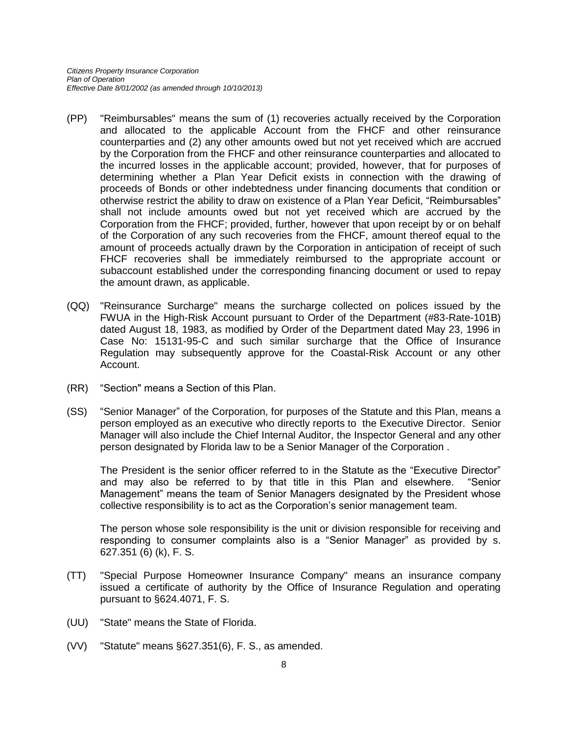- (PP) "Reimbursables" means the sum of (1) recoveries actually received by the Corporation and allocated to the applicable Account from the FHCF and other reinsurance counterparties and (2) any other amounts owed but not yet received which are accrued by the Corporation from the FHCF and other reinsurance counterparties and allocated to the incurred losses in the applicable account; provided, however, that for purposes of determining whether a Plan Year Deficit exists in connection with the drawing of proceeds of Bonds or other indebtedness under financing documents that condition or otherwise restrict the ability to draw on existence of a Plan Year Deficit, "Reimbursables" shall not include amounts owed but not yet received which are accrued by the Corporation from the FHCF; provided, further, however that upon receipt by or on behalf of the Corporation of any such recoveries from the FHCF, amount thereof equal to the amount of proceeds actually drawn by the Corporation in anticipation of receipt of such FHCF recoveries shall be immediately reimbursed to the appropriate account or subaccount established under the corresponding financing document or used to repay the amount drawn, as applicable.
- (QQ) "Reinsurance Surcharge" means the surcharge collected on polices issued by the FWUA in the High-Risk Account pursuant to Order of the Department (#83-Rate-101B) dated August 18, 1983, as modified by Order of the Department dated May 23, 1996 in Case No: 15131-95-C and such similar surcharge that the Office of Insurance Regulation may subsequently approve for the Coastal-Risk Account or any other Account.
- (RR) "Section" means a Section of this Plan.
- (SS) "Senior Manager" of the Corporation, for purposes of the Statute and this Plan, means a person employed as an executive who directly reports to the Executive Director. Senior Manager will also include the Chief Internal Auditor, the Inspector General and any other person designated by Florida law to be a Senior Manager of the Corporation .

The President is the senior officer referred to in the Statute as the "Executive Director" and may also be referred to by that title in this Plan and elsewhere. "Senior Management" means the team of Senior Managers designated by the President whose collective responsibility is to act as the Corporation's senior management team.

The person whose sole responsibility is the unit or division responsible for receiving and responding to consumer complaints also is a "Senior Manager" as provided by s. 627.351 (6) (k), F. S.

- (TT) "Special Purpose Homeowner Insurance Company" means an insurance company issued a certificate of authority by the Office of Insurance Regulation and operating pursuant to §624.4071, F. S.
- (UU) "State" means the State of Florida.
- (VV) "Statute" means §627.351(6), F. S., as amended.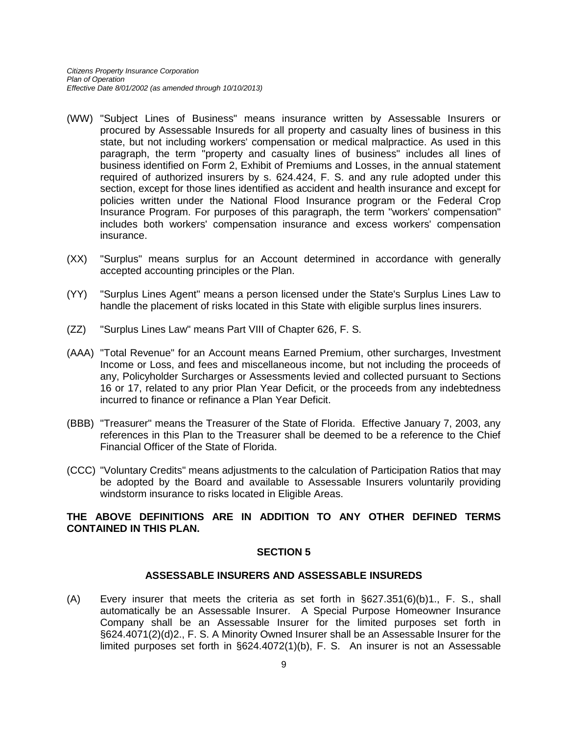- (WW) "Subject Lines of Business" means insurance written by Assessable Insurers or procured by Assessable Insureds for all property and casualty lines of business in this state, but not including workers' compensation or medical malpractice. As used in this paragraph, the term "property and casualty lines of business" includes all lines of business identified on Form 2, Exhibit of Premiums and Losses, in the annual statement required of authorized insurers by s. 624.424, F. S. and any rule adopted under this section, except for those lines identified as accident and health insurance and except for policies written under the National Flood Insurance program or the Federal Crop Insurance Program. For purposes of this paragraph, the term "workers' compensation" includes both workers' compensation insurance and excess workers' compensation insurance.
- (XX) "Surplus" means surplus for an Account determined in accordance with generally accepted accounting principles or the Plan.
- (YY) "Surplus Lines Agent" means a person licensed under the State's Surplus Lines Law to handle the placement of risks located in this State with eligible surplus lines insurers.
- (ZZ) "Surplus Lines Law" means Part VIII of Chapter 626, F. S.
- (AAA) "Total Revenue" for an Account means Earned Premium, other surcharges, Investment Income or Loss, and fees and miscellaneous income, but not including the proceeds of any, Policyholder Surcharges or Assessments levied and collected pursuant to Sections 16 or 17, related to any prior Plan Year Deficit, or the proceeds from any indebtedness incurred to finance or refinance a Plan Year Deficit.
- (BBB) "Treasurer" means the Treasurer of the State of Florida. Effective January 7, 2003, any references in this Plan to the Treasurer shall be deemed to be a reference to the Chief Financial Officer of the State of Florida.
- (CCC) "Voluntary Credits" means adjustments to the calculation of Participation Ratios that may be adopted by the Board and available to Assessable Insurers voluntarily providing windstorm insurance to risks located in Eligible Areas.

#### **THE ABOVE DEFINITIONS ARE IN ADDITION TO ANY OTHER DEFINED TERMS CONTAINED IN THIS PLAN.**

#### **SECTION 5**

#### **ASSESSABLE INSURERS AND ASSESSABLE INSUREDS**

(A) Every insurer that meets the criteria as set forth in §627.351(6)(b)1., F. S., shall automatically be an Assessable Insurer. A Special Purpose Homeowner Insurance Company shall be an Assessable Insurer for the limited purposes set forth in §624.4071(2)(d)2., F. S. A Minority Owned Insurer shall be an Assessable Insurer for the limited purposes set forth in §624.4072(1)(b), F. S. An insurer is not an Assessable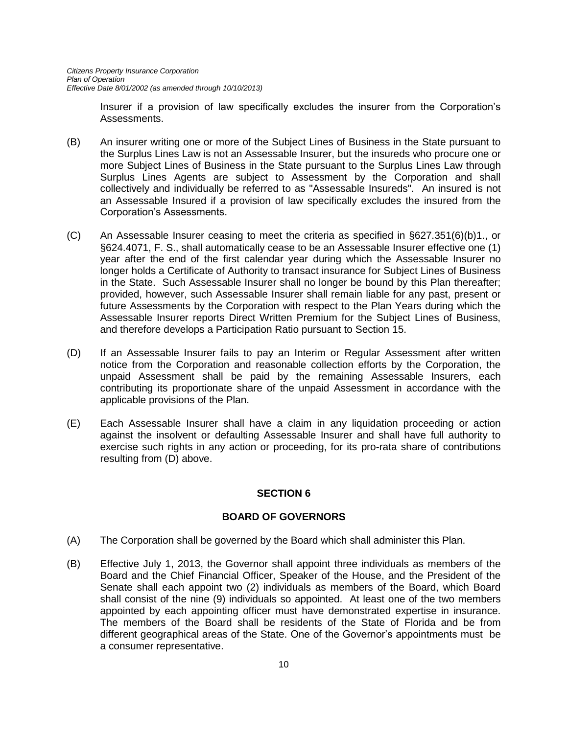Insurer if a provision of law specifically excludes the insurer from the Corporation's Assessments.

- (B) An insurer writing one or more of the Subject Lines of Business in the State pursuant to the Surplus Lines Law is not an Assessable Insurer, but the insureds who procure one or more Subject Lines of Business in the State pursuant to the Surplus Lines Law through Surplus Lines Agents are subject to Assessment by the Corporation and shall collectively and individually be referred to as "Assessable Insureds". An insured is not an Assessable Insured if a provision of law specifically excludes the insured from the Corporation's Assessments.
- (C) An Assessable Insurer ceasing to meet the criteria as specified in §627.351(6)(b)1., or §624.4071, F. S., shall automatically cease to be an Assessable Insurer effective one (1) year after the end of the first calendar year during which the Assessable Insurer no longer holds a Certificate of Authority to transact insurance for Subject Lines of Business in the State. Such Assessable Insurer shall no longer be bound by this Plan thereafter; provided, however, such Assessable Insurer shall remain liable for any past, present or future Assessments by the Corporation with respect to the Plan Years during which the Assessable Insurer reports Direct Written Premium for the Subject Lines of Business, and therefore develops a Participation Ratio pursuant to Section 15.
- (D) If an Assessable Insurer fails to pay an Interim or Regular Assessment after written notice from the Corporation and reasonable collection efforts by the Corporation, the unpaid Assessment shall be paid by the remaining Assessable Insurers, each contributing its proportionate share of the unpaid Assessment in accordance with the applicable provisions of the Plan.
- (E) Each Assessable Insurer shall have a claim in any liquidation proceeding or action against the insolvent or defaulting Assessable Insurer and shall have full authority to exercise such rights in any action or proceeding, for its pro-rata share of contributions resulting from (D) above.

## **SECTION 6**

## **BOARD OF GOVERNORS**

- (A) The Corporation shall be governed by the Board which shall administer this Plan.
- (B) Effective July 1, 2013, the Governor shall appoint three individuals as members of the Board and the Chief Financial Officer, Speaker of the House, and the President of the Senate shall each appoint two (2) individuals as members of the Board, which Board shall consist of the nine (9) individuals so appointed. At least one of the two members appointed by each appointing officer must have demonstrated expertise in insurance. The members of the Board shall be residents of the State of Florida and be from different geographical areas of the State. One of the Governor's appointments must be a consumer representative.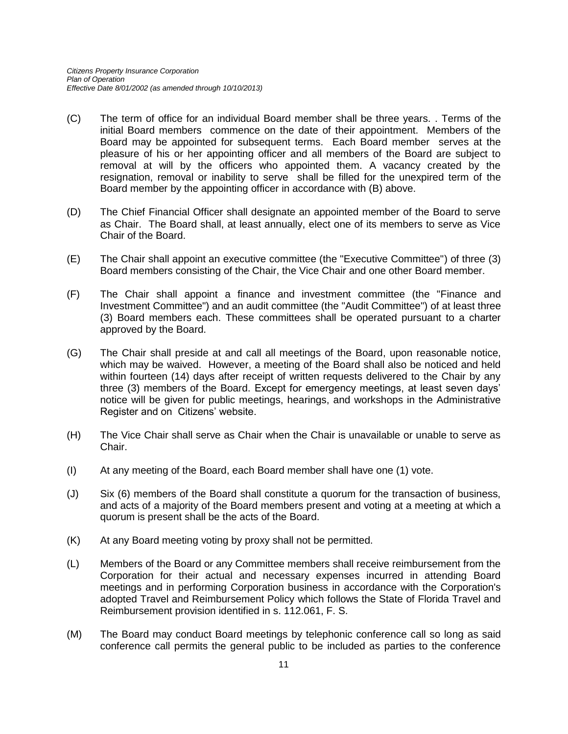- (C) The term of office for an individual Board member shall be three years. . Terms of the initial Board members commence on the date of their appointment. Members of the Board may be appointed for subsequent terms. Each Board member serves at the pleasure of his or her appointing officer and all members of the Board are subject to removal at will by the officers who appointed them. A vacancy created by the resignation, removal or inability to serve shall be filled for the unexpired term of the Board member by the appointing officer in accordance with (B) above.
- (D) The Chief Financial Officer shall designate an appointed member of the Board to serve as Chair. The Board shall, at least annually, elect one of its members to serve as Vice Chair of the Board.
- (E) The Chair shall appoint an executive committee (the "Executive Committee") of three (3) Board members consisting of the Chair, the Vice Chair and one other Board member.
- (F) The Chair shall appoint a finance and investment committee (the "Finance and Investment Committee") and an audit committee (the "Audit Committee") of at least three (3) Board members each. These committees shall be operated pursuant to a charter approved by the Board.
- (G) The Chair shall preside at and call all meetings of the Board, upon reasonable notice, which may be waived. However, a meeting of the Board shall also be noticed and held within fourteen (14) days after receipt of written requests delivered to the Chair by any three (3) members of the Board. Except for emergency meetings, at least seven days' notice will be given for public meetings, hearings, and workshops in the Administrative Register and on Citizens' website.
- (H) The Vice Chair shall serve as Chair when the Chair is unavailable or unable to serve as Chair.
- (I) At any meeting of the Board, each Board member shall have one (1) vote.
- (J) Six (6) members of the Board shall constitute a quorum for the transaction of business, and acts of a majority of the Board members present and voting at a meeting at which a quorum is present shall be the acts of the Board.
- (K) At any Board meeting voting by proxy shall not be permitted.
- (L) Members of the Board or any Committee members shall receive reimbursement from the Corporation for their actual and necessary expenses incurred in attending Board meetings and in performing Corporation business in accordance with the Corporation's adopted Travel and Reimbursement Policy which follows the State of Florida Travel and Reimbursement provision identified in s. 112.061, F. S.
- (M) The Board may conduct Board meetings by telephonic conference call so long as said conference call permits the general public to be included as parties to the conference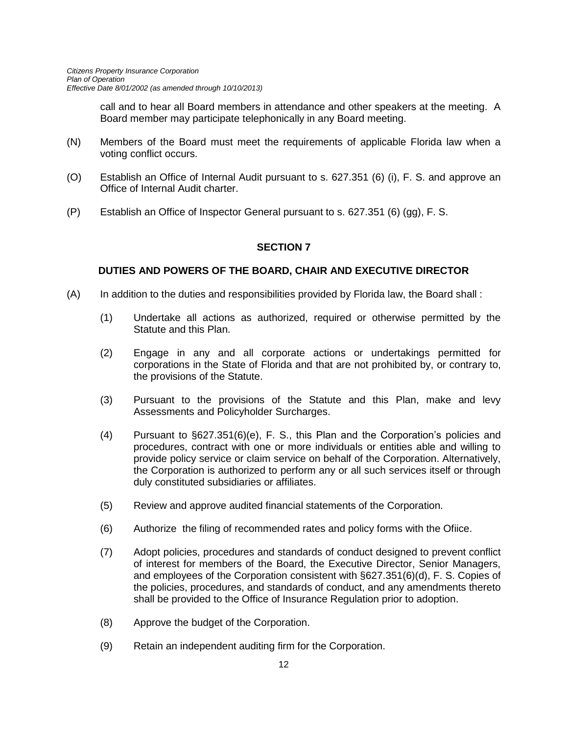call and to hear all Board members in attendance and other speakers at the meeting. A Board member may participate telephonically in any Board meeting.

- (N) Members of the Board must meet the requirements of applicable Florida law when a voting conflict occurs.
- (O) Establish an Office of Internal Audit pursuant to s. 627.351 (6) (i), F. S. and approve an Office of Internal Audit charter.
- (P) Establish an Office of Inspector General pursuant to s. 627.351 (6) (gg), F. S.

## **SECTION 7**

## **DUTIES AND POWERS OF THE BOARD, CHAIR AND EXECUTIVE DIRECTOR**

- (A) In addition to the duties and responsibilities provided by Florida law, the Board shall :
	- (1) Undertake all actions as authorized, required or otherwise permitted by the Statute and this Plan.
	- (2) Engage in any and all corporate actions or undertakings permitted for corporations in the State of Florida and that are not prohibited by, or contrary to, the provisions of the Statute.
	- (3) Pursuant to the provisions of the Statute and this Plan, make and levy Assessments and Policyholder Surcharges.
	- (4) Pursuant to §627.351(6)(e), F. S., this Plan and the Corporation's policies and procedures, contract with one or more individuals or entities able and willing to provide policy service or claim service on behalf of the Corporation. Alternatively, the Corporation is authorized to perform any or all such services itself or through duly constituted subsidiaries or affiliates.
	- (5) Review and approve audited financial statements of the Corporation.
	- (6) Authorize the filing of recommended rates and policy forms with the Ofiice.
	- (7) Adopt policies, procedures and standards of conduct designed to prevent conflict of interest for members of the Board, the Executive Director, Senior Managers, and employees of the Corporation consistent with §627.351(6)(d), F. S. Copies of the policies, procedures, and standards of conduct, and any amendments thereto shall be provided to the Office of Insurance Regulation prior to adoption.
	- (8) Approve the budget of the Corporation.
	- (9) Retain an independent auditing firm for the Corporation.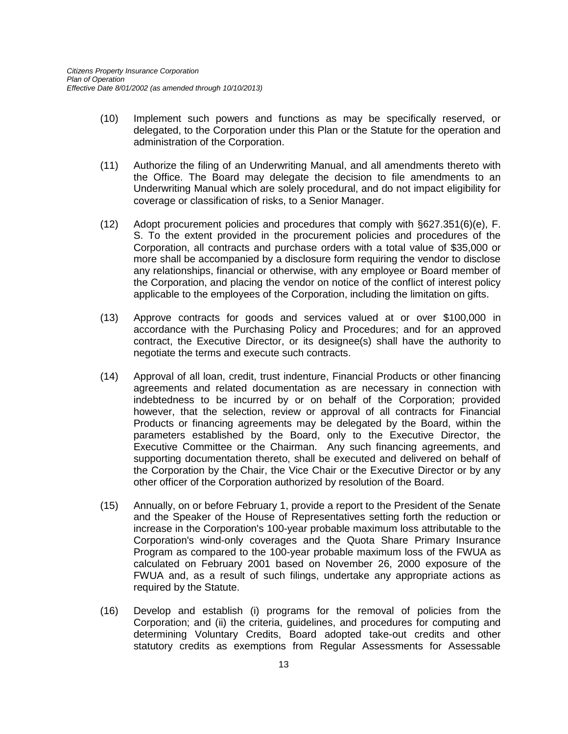- (10) Implement such powers and functions as may be specifically reserved, or delegated, to the Corporation under this Plan or the Statute for the operation and administration of the Corporation.
- (11) Authorize the filing of an Underwriting Manual, and all amendments thereto with the Office. The Board may delegate the decision to file amendments to an Underwriting Manual which are solely procedural, and do not impact eligibility for coverage or classification of risks, to a Senior Manager.
- (12) Adopt procurement policies and procedures that comply with §627.351(6)(e), F. S. To the extent provided in the procurement policies and procedures of the Corporation, all contracts and purchase orders with a total value of \$35,000 or more shall be accompanied by a disclosure form requiring the vendor to disclose any relationships, financial or otherwise, with any employee or Board member of the Corporation, and placing the vendor on notice of the conflict of interest policy applicable to the employees of the Corporation, including the limitation on gifts.
- (13) Approve contracts for goods and services valued at or over \$100,000 in accordance with the Purchasing Policy and Procedures; and for an approved contract, the Executive Director, or its designee(s) shall have the authority to negotiate the terms and execute such contracts.
- (14) Approval of all loan, credit, trust indenture, Financial Products or other financing agreements and related documentation as are necessary in connection with indebtedness to be incurred by or on behalf of the Corporation; provided however, that the selection, review or approval of all contracts for Financial Products or financing agreements may be delegated by the Board, within the parameters established by the Board, only to the Executive Director, the Executive Committee or the Chairman. Any such financing agreements, and supporting documentation thereto, shall be executed and delivered on behalf of the Corporation by the Chair, the Vice Chair or the Executive Director or by any other officer of the Corporation authorized by resolution of the Board.
- (15) Annually, on or before February 1, provide a report to the President of the Senate and the Speaker of the House of Representatives setting forth the reduction or increase in the Corporation's 100-year probable maximum loss attributable to the Corporation's wind-only coverages and the Quota Share Primary Insurance Program as compared to the 100-year probable maximum loss of the FWUA as calculated on February 2001 based on November 26, 2000 exposure of the FWUA and, as a result of such filings, undertake any appropriate actions as required by the Statute.
- (16) Develop and establish (i) programs for the removal of policies from the Corporation; and (ii) the criteria, guidelines, and procedures for computing and determining Voluntary Credits, Board adopted take-out credits and other statutory credits as exemptions from Regular Assessments for Assessable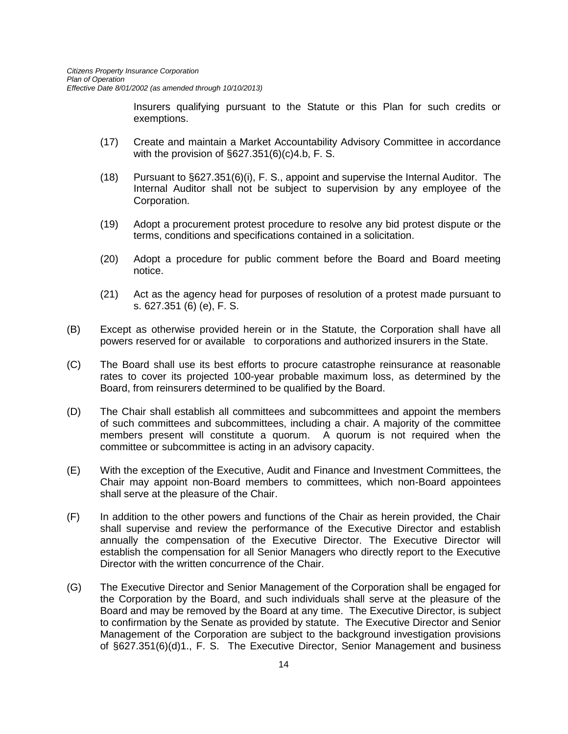Insurers qualifying pursuant to the Statute or this Plan for such credits or exemptions.

- (17) Create and maintain a Market Accountability Advisory Committee in accordance with the provision of §627.351(6)(c)4.b, F. S.
- (18) Pursuant to §627.351(6)(i), F. S., appoint and supervise the Internal Auditor. The Internal Auditor shall not be subject to supervision by any employee of the Corporation.
- (19) Adopt a procurement protest procedure to resolve any bid protest dispute or the terms, conditions and specifications contained in a solicitation.
- (20) Adopt a procedure for public comment before the Board and Board meeting notice.
- (21) Act as the agency head for purposes of resolution of a protest made pursuant to s. 627.351 (6) (e), F. S.
- (B) Except as otherwise provided herein or in the Statute, the Corporation shall have all powers reserved for or available to corporations and authorized insurers in the State.
- (C) The Board shall use its best efforts to procure catastrophe reinsurance at reasonable rates to cover its projected 100-year probable maximum loss, as determined by the Board, from reinsurers determined to be qualified by the Board.
- (D) The Chair shall establish all committees and subcommittees and appoint the members of such committees and subcommittees, including a chair. A majority of the committee members present will constitute a quorum. A quorum is not required when the committee or subcommittee is acting in an advisory capacity.
- (E) With the exception of the Executive, Audit and Finance and Investment Committees, the Chair may appoint non-Board members to committees, which non-Board appointees shall serve at the pleasure of the Chair.
- (F) In addition to the other powers and functions of the Chair as herein provided, the Chair shall supervise and review the performance of the Executive Director and establish annually the compensation of the Executive Director. The Executive Director will establish the compensation for all Senior Managers who directly report to the Executive Director with the written concurrence of the Chair.
- (G) The Executive Director and Senior Management of the Corporation shall be engaged for the Corporation by the Board, and such individuals shall serve at the pleasure of the Board and may be removed by the Board at any time. The Executive Director, is subject to confirmation by the Senate as provided by statute. The Executive Director and Senior Management of the Corporation are subject to the background investigation provisions of §627.351(6)(d)1., F. S. The Executive Director, Senior Management and business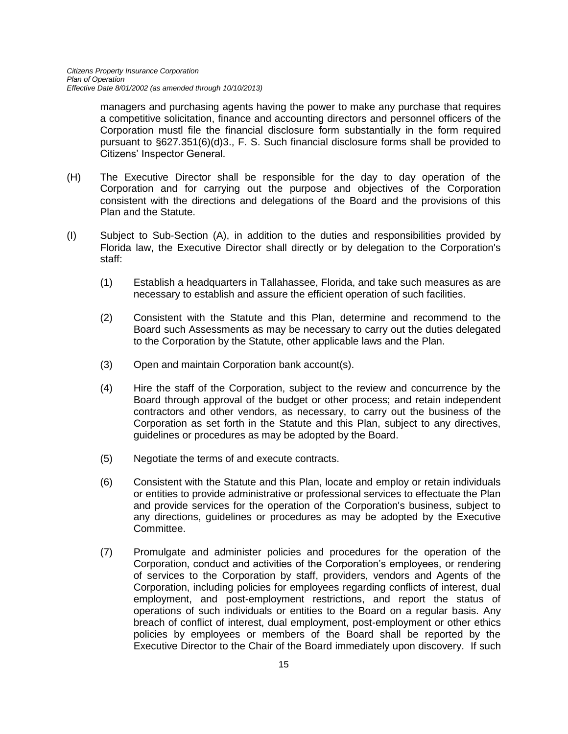managers and purchasing agents having the power to make any purchase that requires a competitive solicitation, finance and accounting directors and personnel officers of the Corporation mustl file the financial disclosure form substantially in the form required pursuant to §627.351(6)(d)3., F. S. Such financial disclosure forms shall be provided to Citizens' Inspector General.

- (H) The Executive Director shall be responsible for the day to day operation of the Corporation and for carrying out the purpose and objectives of the Corporation consistent with the directions and delegations of the Board and the provisions of this Plan and the Statute.
- (I) Subject to Sub-Section (A), in addition to the duties and responsibilities provided by Florida law, the Executive Director shall directly or by delegation to the Corporation's staff:
	- (1) Establish a headquarters in Tallahassee, Florida, and take such measures as are necessary to establish and assure the efficient operation of such facilities.
	- (2) Consistent with the Statute and this Plan, determine and recommend to the Board such Assessments as may be necessary to carry out the duties delegated to the Corporation by the Statute, other applicable laws and the Plan.
	- (3) Open and maintain Corporation bank account(s).
	- (4) Hire the staff of the Corporation, subject to the review and concurrence by the Board through approval of the budget or other process; and retain independent contractors and other vendors, as necessary, to carry out the business of the Corporation as set forth in the Statute and this Plan, subject to any directives, guidelines or procedures as may be adopted by the Board.
	- (5) Negotiate the terms of and execute contracts.
	- (6) Consistent with the Statute and this Plan, locate and employ or retain individuals or entities to provide administrative or professional services to effectuate the Plan and provide services for the operation of the Corporation's business, subject to any directions, guidelines or procedures as may be adopted by the Executive Committee.
	- (7) Promulgate and administer policies and procedures for the operation of the Corporation, conduct and activities of the Corporation's employees, or rendering of services to the Corporation by staff, providers, vendors and Agents of the Corporation, including policies for employees regarding conflicts of interest, dual employment, and post-employment restrictions, and report the status of operations of such individuals or entities to the Board on a regular basis. Any breach of conflict of interest, dual employment, post-employment or other ethics policies by employees or members of the Board shall be reported by the Executive Director to the Chair of the Board immediately upon discovery. If such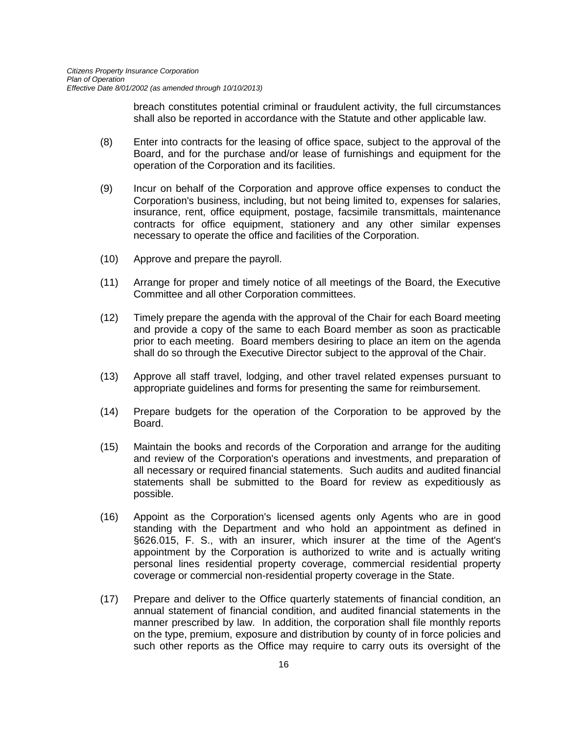breach constitutes potential criminal or fraudulent activity, the full circumstances shall also be reported in accordance with the Statute and other applicable law.

- (8) Enter into contracts for the leasing of office space, subject to the approval of the Board, and for the purchase and/or lease of furnishings and equipment for the operation of the Corporation and its facilities.
- (9) Incur on behalf of the Corporation and approve office expenses to conduct the Corporation's business, including, but not being limited to, expenses for salaries, insurance, rent, office equipment, postage, facsimile transmittals, maintenance contracts for office equipment, stationery and any other similar expenses necessary to operate the office and facilities of the Corporation.
- (10) Approve and prepare the payroll.
- (11) Arrange for proper and timely notice of all meetings of the Board, the Executive Committee and all other Corporation committees.
- (12) Timely prepare the agenda with the approval of the Chair for each Board meeting and provide a copy of the same to each Board member as soon as practicable prior to each meeting. Board members desiring to place an item on the agenda shall do so through the Executive Director subject to the approval of the Chair.
- (13) Approve all staff travel, lodging, and other travel related expenses pursuant to appropriate guidelines and forms for presenting the same for reimbursement.
- (14) Prepare budgets for the operation of the Corporation to be approved by the Board.
- (15) Maintain the books and records of the Corporation and arrange for the auditing and review of the Corporation's operations and investments, and preparation of all necessary or required financial statements. Such audits and audited financial statements shall be submitted to the Board for review as expeditiously as possible.
- (16) Appoint as the Corporation's licensed agents only Agents who are in good standing with the Department and who hold an appointment as defined in §626.015, F. S., with an insurer, which insurer at the time of the Agent's appointment by the Corporation is authorized to write and is actually writing personal lines residential property coverage, commercial residential property coverage or commercial non-residential property coverage in the State.
- (17) Prepare and deliver to the Office quarterly statements of financial condition, an annual statement of financial condition, and audited financial statements in the manner prescribed by law. In addition, the corporation shall file monthly reports on the type, premium, exposure and distribution by county of in force policies and such other reports as the Office may require to carry outs its oversight of the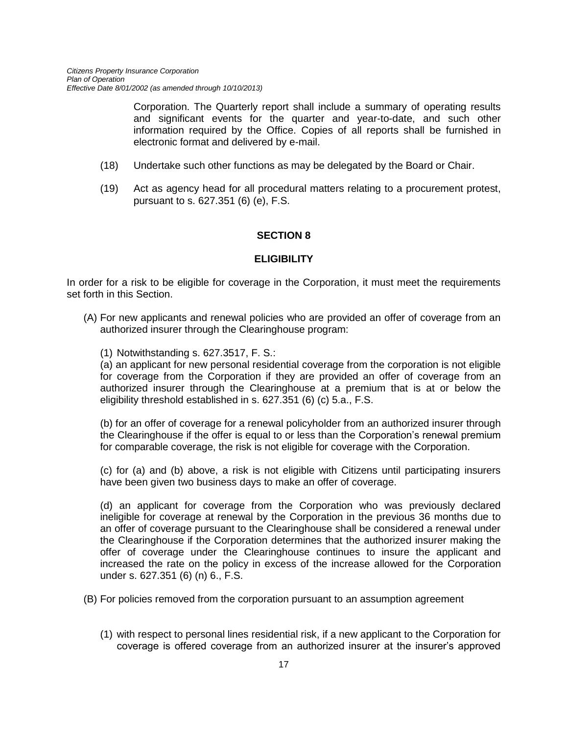Corporation. The Quarterly report shall include a summary of operating results and significant events for the quarter and year-to-date, and such other information required by the Office. Copies of all reports shall be furnished in electronic format and delivered by e-mail.

- (18) Undertake such other functions as may be delegated by the Board or Chair.
- (19) Act as agency head for all procedural matters relating to a procurement protest, pursuant to s. 627.351 (6) (e), F.S.

#### **SECTION 8**

#### **ELIGIBILITY**

In order for a risk to be eligible for coverage in the Corporation, it must meet the requirements set forth in this Section.

- (A) For new applicants and renewal policies who are provided an offer of coverage from an authorized insurer through the Clearinghouse program:
	- (1) Notwithstanding s. 627.3517, F. S.:

(a) an applicant for new personal residential coverage from the corporation is not eligible for coverage from the Corporation if they are provided an offer of coverage from an authorized insurer through the Clearinghouse at a premium that is at or below the eligibility threshold established in s. 627.351 (6) (c) 5.a., F.S.

(b) for an offer of coverage for a renewal policyholder from an authorized insurer through the Clearinghouse if the offer is equal to or less than the Corporation's renewal premium for comparable coverage, the risk is not eligible for coverage with the Corporation.

(c) for (a) and (b) above, a risk is not eligible with Citizens until participating insurers have been given two business days to make an offer of coverage.

(d) an applicant for coverage from the Corporation who was previously declared ineligible for coverage at renewal by the Corporation in the previous 36 months due to an offer of coverage pursuant to the Clearinghouse shall be considered a renewal under the Clearinghouse if the Corporation determines that the authorized insurer making the offer of coverage under the Clearinghouse continues to insure the applicant and increased the rate on the policy in excess of the increase allowed for the Corporation under s. 627.351 (6) (n) 6., F.S.

(B) For policies removed from the corporation pursuant to an assumption agreement

(1) with respect to personal lines residential risk, if a new applicant to the Corporation for coverage is offered coverage from an authorized insurer at the insurer's approved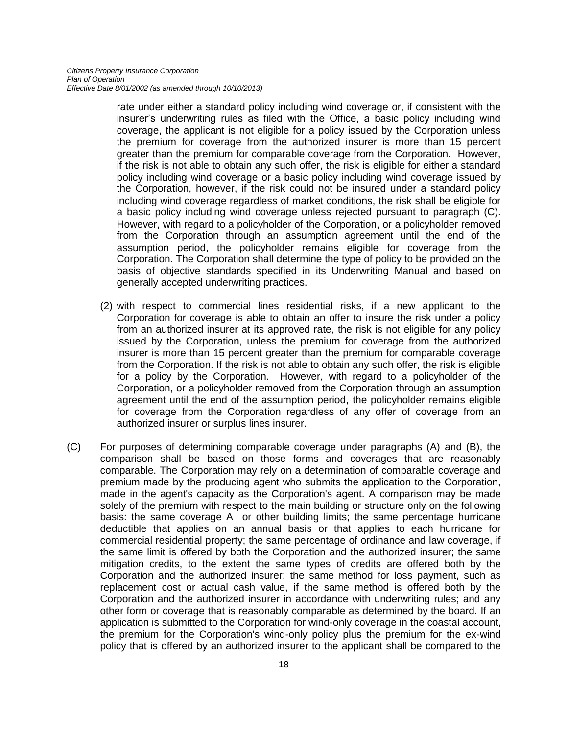rate under either a standard policy including wind coverage or, if consistent with the insurer's underwriting rules as filed with the Office, a basic policy including wind coverage, the applicant is not eligible for a policy issued by the Corporation unless the premium for coverage from the authorized insurer is more than 15 percent greater than the premium for comparable coverage from the Corporation. However, if the risk is not able to obtain any such offer, the risk is eligible for either a standard policy including wind coverage or a basic policy including wind coverage issued by the Corporation, however, if the risk could not be insured under a standard policy including wind coverage regardless of market conditions, the risk shall be eligible for a basic policy including wind coverage unless rejected pursuant to paragraph (C). However, with regard to a policyholder of the Corporation, or a policyholder removed from the Corporation through an assumption agreement until the end of the assumption period, the policyholder remains eligible for coverage from the Corporation. The Corporation shall determine the type of policy to be provided on the basis of objective standards specified in its Underwriting Manual and based on generally accepted underwriting practices.

- (2) with respect to commercial lines residential risks, if a new applicant to the Corporation for coverage is able to obtain an offer to insure the risk under a policy from an authorized insurer at its approved rate, the risk is not eligible for any policy issued by the Corporation, unless the premium for coverage from the authorized insurer is more than 15 percent greater than the premium for comparable coverage from the Corporation. If the risk is not able to obtain any such offer, the risk is eligible for a policy by the Corporation. However, with regard to a policyholder of the Corporation, or a policyholder removed from the Corporation through an assumption agreement until the end of the assumption period, the policyholder remains eligible for coverage from the Corporation regardless of any offer of coverage from an authorized insurer or surplus lines insurer.
- (C) For purposes of determining comparable coverage under paragraphs (A) and (B), the comparison shall be based on those forms and coverages that are reasonably comparable. The Corporation may rely on a determination of comparable coverage and premium made by the producing agent who submits the application to the Corporation, made in the agent's capacity as the Corporation's agent. A comparison may be made solely of the premium with respect to the main building or structure only on the following basis: the same coverage A or other building limits; the same percentage hurricane deductible that applies on an annual basis or that applies to each hurricane for commercial residential property; the same percentage of ordinance and law coverage, if the same limit is offered by both the Corporation and the authorized insurer; the same mitigation credits, to the extent the same types of credits are offered both by the Corporation and the authorized insurer; the same method for loss payment, such as replacement cost or actual cash value, if the same method is offered both by the Corporation and the authorized insurer in accordance with underwriting rules; and any other form or coverage that is reasonably comparable as determined by the board. If an application is submitted to the Corporation for wind-only coverage in the coastal account, the premium for the Corporation's wind-only policy plus the premium for the ex-wind policy that is offered by an authorized insurer to the applicant shall be compared to the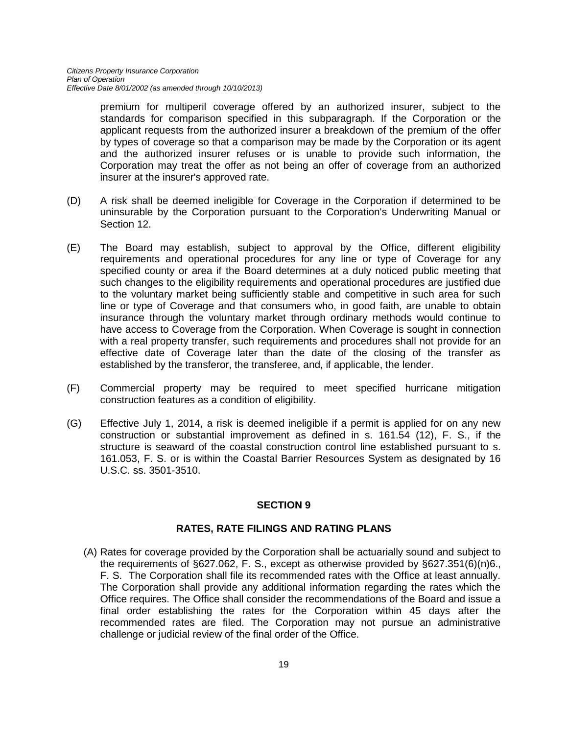premium for multiperil coverage offered by an authorized insurer, subject to the standards for comparison specified in this subparagraph. If the Corporation or the applicant requests from the authorized insurer a breakdown of the premium of the offer by types of coverage so that a comparison may be made by the Corporation or its agent and the authorized insurer refuses or is unable to provide such information, the Corporation may treat the offer as not being an offer of coverage from an authorized insurer at the insurer's approved rate.

- (D) A risk shall be deemed ineligible for Coverage in the Corporation if determined to be uninsurable by the Corporation pursuant to the Corporation's Underwriting Manual or Section 12.
- (E) The Board may establish, subject to approval by the Office, different eligibility requirements and operational procedures for any line or type of Coverage for any specified county or area if the Board determines at a duly noticed public meeting that such changes to the eligibility requirements and operational procedures are justified due to the voluntary market being sufficiently stable and competitive in such area for such line or type of Coverage and that consumers who, in good faith, are unable to obtain insurance through the voluntary market through ordinary methods would continue to have access to Coverage from the Corporation. When Coverage is sought in connection with a real property transfer, such requirements and procedures shall not provide for an effective date of Coverage later than the date of the closing of the transfer as established by the transferor, the transferee, and, if applicable, the lender.
- (F) Commercial property may be required to meet specified hurricane mitigation construction features as a condition of eligibility.
- (G) Effective July 1, 2014, a risk is deemed ineligible if a permit is applied for on any new construction or substantial improvement as defined in s. 161.54 (12), F. S., if the structure is seaward of the coastal construction control line established pursuant to s. 161.053, F. S. or is within the Coastal Barrier Resources System as designated by 16 U.S.C. ss. 3501-3510.

## **SECTION 9**

#### **RATES, RATE FILINGS AND RATING PLANS**

(A) Rates for coverage provided by the Corporation shall be actuarially sound and subject to the requirements of §627.062, F. S., except as otherwise provided by §627.351(6)(n)6., F. S. The Corporation shall file its recommended rates with the Office at least annually. The Corporation shall provide any additional information regarding the rates which the Office requires. The Office shall consider the recommendations of the Board and issue a final order establishing the rates for the Corporation within 45 days after the recommended rates are filed. The Corporation may not pursue an administrative challenge or judicial review of the final order of the Office.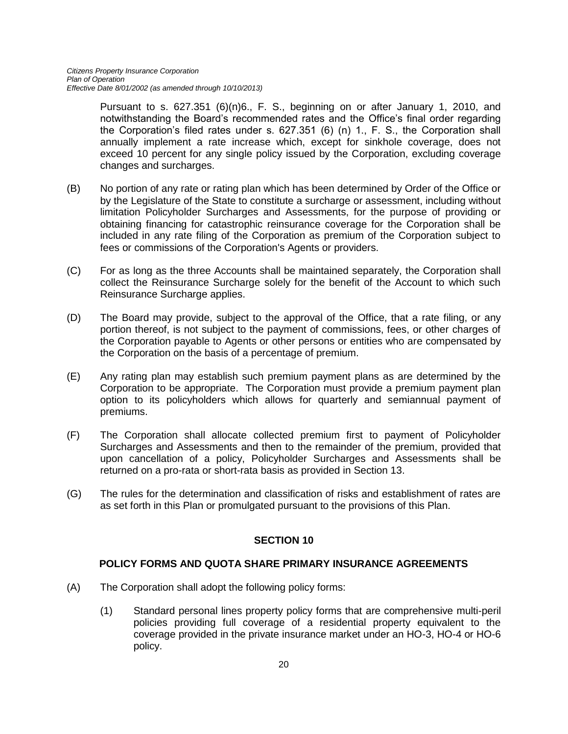Pursuant to s. 627.351 (6)(n)6., F. S., beginning on or after January 1, 2010, and notwithstanding the Board's recommended rates and the Office's final order regarding the Corporation's filed rates under s. 627.351 (6) (n) 1., F. S., the Corporation shall annually implement a rate increase which, except for sinkhole coverage, does not exceed 10 percent for any single policy issued by the Corporation, excluding coverage changes and surcharges.

- (B) No portion of any rate or rating plan which has been determined by Order of the Office or by the Legislature of the State to constitute a surcharge or assessment, including without limitation Policyholder Surcharges and Assessments, for the purpose of providing or obtaining financing for catastrophic reinsurance coverage for the Corporation shall be included in any rate filing of the Corporation as premium of the Corporation subject to fees or commissions of the Corporation's Agents or providers.
- (C) For as long as the three Accounts shall be maintained separately, the Corporation shall collect the Reinsurance Surcharge solely for the benefit of the Account to which such Reinsurance Surcharge applies.
- (D) The Board may provide, subject to the approval of the Office, that a rate filing, or any portion thereof, is not subject to the payment of commissions, fees, or other charges of the Corporation payable to Agents or other persons or entities who are compensated by the Corporation on the basis of a percentage of premium.
- (E) Any rating plan may establish such premium payment plans as are determined by the Corporation to be appropriate. The Corporation must provide a premium payment plan option to its policyholders which allows for quarterly and semiannual payment of premiums.
- (F) The Corporation shall allocate collected premium first to payment of Policyholder Surcharges and Assessments and then to the remainder of the premium, provided that upon cancellation of a policy, Policyholder Surcharges and Assessments shall be returned on a pro-rata or short-rata basis as provided in Section 13.
- (G) The rules for the determination and classification of risks and establishment of rates are as set forth in this Plan or promulgated pursuant to the provisions of this Plan.

## **SECTION 10**

## **POLICY FORMS AND QUOTA SHARE PRIMARY INSURANCE AGREEMENTS**

- (A) The Corporation shall adopt the following policy forms:
	- (1) Standard personal lines property policy forms that are comprehensive multi-peril policies providing full coverage of a residential property equivalent to the coverage provided in the private insurance market under an HO-3, HO-4 or HO-6 policy.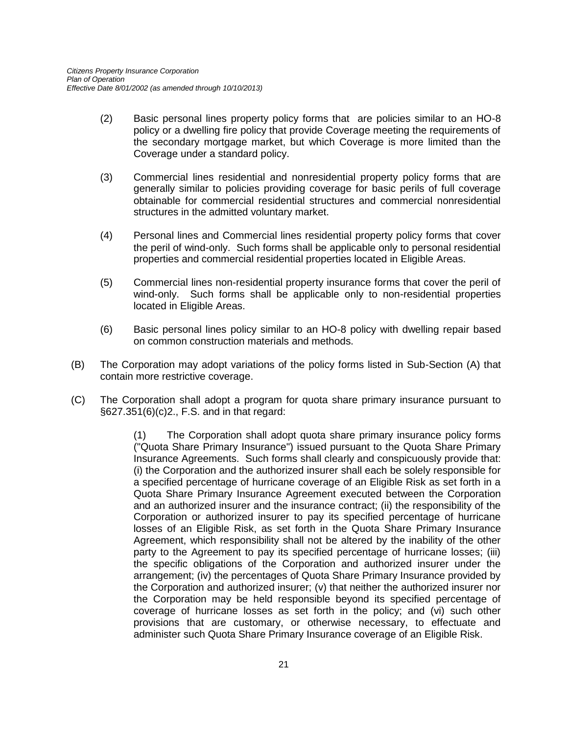- (2) Basic personal lines property policy forms that are policies similar to an HO-8 policy or a dwelling fire policy that provide Coverage meeting the requirements of the secondary mortgage market, but which Coverage is more limited than the Coverage under a standard policy.
- (3) Commercial lines residential and nonresidential property policy forms that are generally similar to policies providing coverage for basic perils of full coverage obtainable for commercial residential structures and commercial nonresidential structures in the admitted voluntary market.
- (4) Personal lines and Commercial lines residential property policy forms that cover the peril of wind-only. Such forms shall be applicable only to personal residential properties and commercial residential properties located in Eligible Areas.
- (5) Commercial lines non-residential property insurance forms that cover the peril of wind-only. Such forms shall be applicable only to non-residential properties located in Eligible Areas.
- (6) Basic personal lines policy similar to an HO-8 policy with dwelling repair based on common construction materials and methods.
- (B) The Corporation may adopt variations of the policy forms listed in Sub-Section (A) that contain more restrictive coverage.
- (C) The Corporation shall adopt a program for quota share primary insurance pursuant to §627.351(6)(c)2., F.S. and in that regard:

(1) The Corporation shall adopt quota share primary insurance policy forms ("Quota Share Primary Insurance") issued pursuant to the Quota Share Primary Insurance Agreements. Such forms shall clearly and conspicuously provide that: (i) the Corporation and the authorized insurer shall each be solely responsible for a specified percentage of hurricane coverage of an Eligible Risk as set forth in a Quota Share Primary Insurance Agreement executed between the Corporation and an authorized insurer and the insurance contract; (ii) the responsibility of the Corporation or authorized insurer to pay its specified percentage of hurricane losses of an Eligible Risk, as set forth in the Quota Share Primary Insurance Agreement, which responsibility shall not be altered by the inability of the other party to the Agreement to pay its specified percentage of hurricane losses; (iii) the specific obligations of the Corporation and authorized insurer under the arrangement; (iv) the percentages of Quota Share Primary Insurance provided by the Corporation and authorized insurer; (v) that neither the authorized insurer nor the Corporation may be held responsible beyond its specified percentage of coverage of hurricane losses as set forth in the policy; and (vi) such other provisions that are customary, or otherwise necessary, to effectuate and administer such Quota Share Primary Insurance coverage of an Eligible Risk.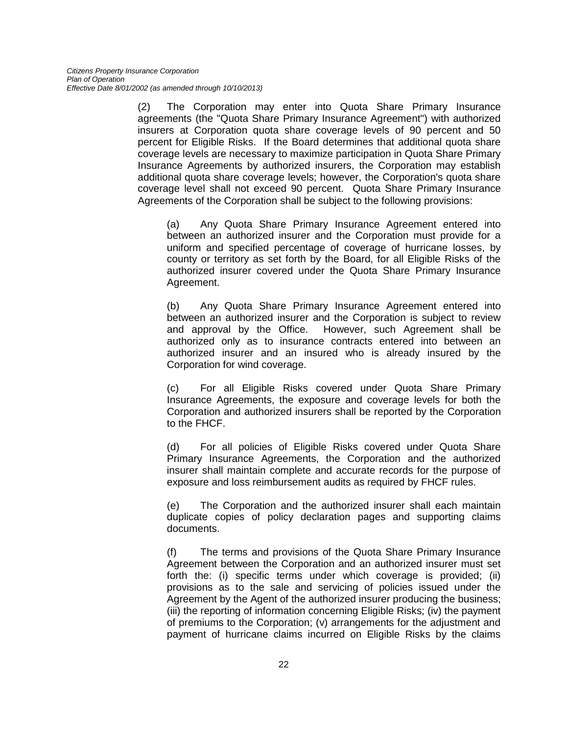(2) The Corporation may enter into Quota Share Primary Insurance agreements (the "Quota Share Primary Insurance Agreement") with authorized insurers at Corporation quota share coverage levels of 90 percent and 50 percent for Eligible Risks. If the Board determines that additional quota share coverage levels are necessary to maximize participation in Quota Share Primary Insurance Agreements by authorized insurers, the Corporation may establish additional quota share coverage levels; however, the Corporation's quota share coverage level shall not exceed 90 percent. Quota Share Primary Insurance Agreements of the Corporation shall be subject to the following provisions:

(a) Any Quota Share Primary Insurance Agreement entered into between an authorized insurer and the Corporation must provide for a uniform and specified percentage of coverage of hurricane losses, by county or territory as set forth by the Board, for all Eligible Risks of the authorized insurer covered under the Quota Share Primary Insurance Agreement.

(b) Any Quota Share Primary Insurance Agreement entered into between an authorized insurer and the Corporation is subject to review and approval by the Office. However, such Agreement shall be authorized only as to insurance contracts entered into between an authorized insurer and an insured who is already insured by the Corporation for wind coverage.

(c) For all Eligible Risks covered under Quota Share Primary Insurance Agreements, the exposure and coverage levels for both the Corporation and authorized insurers shall be reported by the Corporation to the FHCF.

(d) For all policies of Eligible Risks covered under Quota Share Primary Insurance Agreements, the Corporation and the authorized insurer shall maintain complete and accurate records for the purpose of exposure and loss reimbursement audits as required by FHCF rules.

(e) The Corporation and the authorized insurer shall each maintain duplicate copies of policy declaration pages and supporting claims documents.

(f) The terms and provisions of the Quota Share Primary Insurance Agreement between the Corporation and an authorized insurer must set forth the: (i) specific terms under which coverage is provided; (ii) provisions as to the sale and servicing of policies issued under the Agreement by the Agent of the authorized insurer producing the business; (iii) the reporting of information concerning Eligible Risks; (iv) the payment of premiums to the Corporation; (v) arrangements for the adjustment and payment of hurricane claims incurred on Eligible Risks by the claims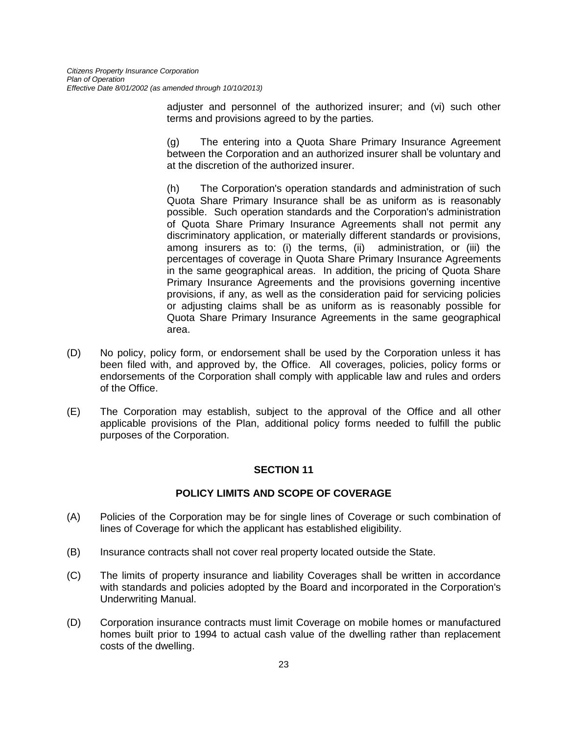adjuster and personnel of the authorized insurer; and (vi) such other terms and provisions agreed to by the parties.

(g) The entering into a Quota Share Primary Insurance Agreement between the Corporation and an authorized insurer shall be voluntary and at the discretion of the authorized insurer.

(h) The Corporation's operation standards and administration of such Quota Share Primary Insurance shall be as uniform as is reasonably possible. Such operation standards and the Corporation's administration of Quota Share Primary Insurance Agreements shall not permit any discriminatory application, or materially different standards or provisions, among insurers as to: (i) the terms, (ii) administration, or (iii) the percentages of coverage in Quota Share Primary Insurance Agreements in the same geographical areas. In addition, the pricing of Quota Share Primary Insurance Agreements and the provisions governing incentive provisions, if any, as well as the consideration paid for servicing policies or adjusting claims shall be as uniform as is reasonably possible for Quota Share Primary Insurance Agreements in the same geographical area.

- (D) No policy, policy form, or endorsement shall be used by the Corporation unless it has been filed with, and approved by, the Office. All coverages, policies, policy forms or endorsements of the Corporation shall comply with applicable law and rules and orders of the Office.
- (E) The Corporation may establish, subject to the approval of the Office and all other applicable provisions of the Plan, additional policy forms needed to fulfill the public purposes of the Corporation.

## **SECTION 11**

## **POLICY LIMITS AND SCOPE OF COVERAGE**

- (A) Policies of the Corporation may be for single lines of Coverage or such combination of lines of Coverage for which the applicant has established eligibility.
- (B) Insurance contracts shall not cover real property located outside the State.
- (C) The limits of property insurance and liability Coverages shall be written in accordance with standards and policies adopted by the Board and incorporated in the Corporation's Underwriting Manual.
- (D) Corporation insurance contracts must limit Coverage on mobile homes or manufactured homes built prior to 1994 to actual cash value of the dwelling rather than replacement costs of the dwelling.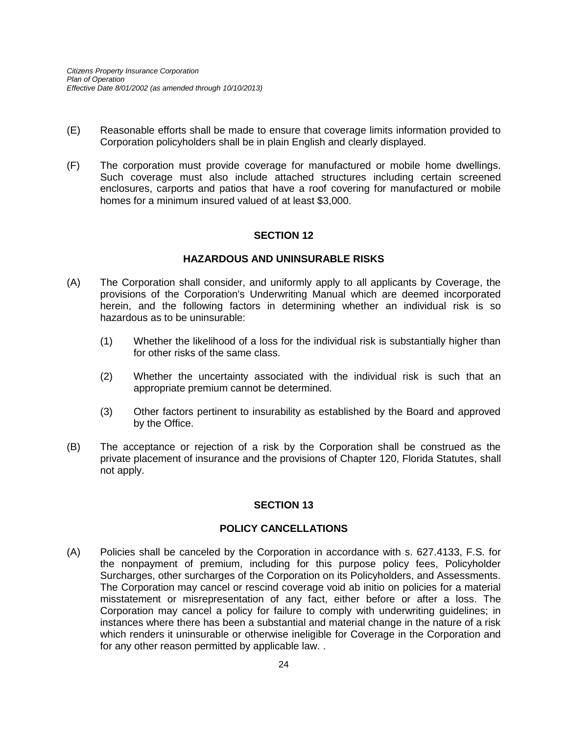- (E) Reasonable efforts shall be made to ensure that coverage limits information provided to Corporation policyholders shall be in plain English and clearly displayed.
- (F) The corporation must provide coverage for manufactured or mobile home dwellings. Such coverage must also include attached structures including certain screened enclosures, carports and patios that have a roof covering for manufactured or mobile homes for a minimum insured valued of at least \$3,000.

## **SECTION 12**

## **HAZARDOUS AND UNINSURABLE RISKS**

- (A) The Corporation shall consider, and uniformly apply to all applicants by Coverage, the provisions of the Corporation's Underwriting Manual which are deemed incorporated herein, and the following factors in determining whether an individual risk is so hazardous as to be uninsurable:
	- (1) Whether the likelihood of a loss for the individual risk is substantially higher than for other risks of the same class.
	- (2) Whether the uncertainty associated with the individual risk is such that an appropriate premium cannot be determined.
	- (3) Other factors pertinent to insurability as established by the Board and approved by the Office.
- (B) The acceptance or rejection of a risk by the Corporation shall be construed as the private placement of insurance and the provisions of Chapter 120, Florida Statutes, shall not apply.

## **SECTION 13**

#### **POLICY CANCELLATIONS**

(A) Policies shall be canceled by the Corporation in accordance with s. 627.4133, F.S. for the nonpayment of premium, including for this purpose policy fees, Policyholder Surcharges, other surcharges of the Corporation on its Policyholders, and Assessments. The Corporation may cancel or rescind coverage void ab initio on policies for a material misstatement or misrepresentation of any fact, either before or after a loss. The Corporation may cancel a policy for failure to comply with underwriting guidelines; in instances where there has been a substantial and material change in the nature of a risk which renders it uninsurable or otherwise ineligible for Coverage in the Corporation and for any other reason permitted by applicable law. .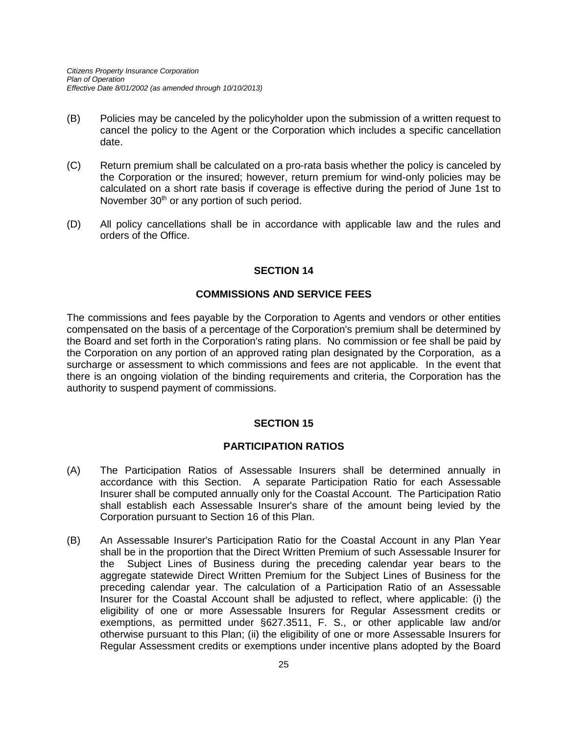- (B) Policies may be canceled by the policyholder upon the submission of a written request to cancel the policy to the Agent or the Corporation which includes a specific cancellation date.
- (C) Return premium shall be calculated on a pro-rata basis whether the policy is canceled by the Corporation or the insured; however, return premium for wind-only policies may be calculated on a short rate basis if coverage is effective during the period of June 1st to November 30<sup>th</sup> or any portion of such period.
- (D) All policy cancellations shall be in accordance with applicable law and the rules and orders of the Office.

## **SECTION 14**

#### **COMMISSIONS AND SERVICE FEES**

The commissions and fees payable by the Corporation to Agents and vendors or other entities compensated on the basis of a percentage of the Corporation's premium shall be determined by the Board and set forth in the Corporation's rating plans. No commission or fee shall be paid by the Corporation on any portion of an approved rating plan designated by the Corporation, as a surcharge or assessment to which commissions and fees are not applicable. In the event that there is an ongoing violation of the binding requirements and criteria, the Corporation has the authority to suspend payment of commissions.

## **SECTION 15**

#### **PARTICIPATION RATIOS**

- (A) The Participation Ratios of Assessable Insurers shall be determined annually in accordance with this Section. A separate Participation Ratio for each Assessable Insurer shall be computed annually only for the Coastal Account. The Participation Ratio shall establish each Assessable Insurer's share of the amount being levied by the Corporation pursuant to Section 16 of this Plan.
- (B) An Assessable Insurer's Participation Ratio for the Coastal Account in any Plan Year shall be in the proportion that the Direct Written Premium of such Assessable Insurer for the Subject Lines of Business during the preceding calendar year bears to the aggregate statewide Direct Written Premium for the Subject Lines of Business for the preceding calendar year. The calculation of a Participation Ratio of an Assessable Insurer for the Coastal Account shall be adjusted to reflect, where applicable: (i) the eligibility of one or more Assessable Insurers for Regular Assessment credits or exemptions, as permitted under §627.3511, F. S., or other applicable law and/or otherwise pursuant to this Plan; (ii) the eligibility of one or more Assessable Insurers for Regular Assessment credits or exemptions under incentive plans adopted by the Board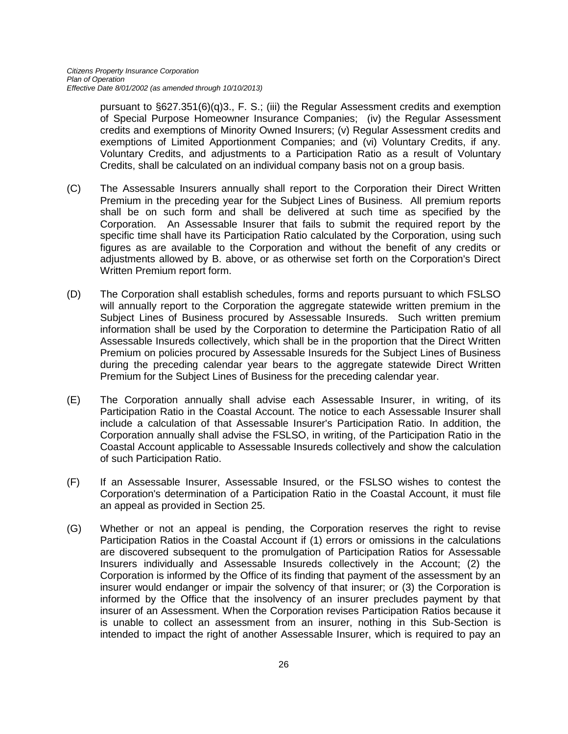pursuant to §627.351(6)(q)3., F. S.; (iii) the Regular Assessment credits and exemption of Special Purpose Homeowner Insurance Companies; (iv) the Regular Assessment credits and exemptions of Minority Owned Insurers; (v) Regular Assessment credits and exemptions of Limited Apportionment Companies; and (vi) Voluntary Credits, if any. Voluntary Credits, and adjustments to a Participation Ratio as a result of Voluntary Credits, shall be calculated on an individual company basis not on a group basis.

- (C) The Assessable Insurers annually shall report to the Corporation their Direct Written Premium in the preceding year for the Subject Lines of Business. All premium reports shall be on such form and shall be delivered at such time as specified by the Corporation. An Assessable Insurer that fails to submit the required report by the specific time shall have its Participation Ratio calculated by the Corporation, using such figures as are available to the Corporation and without the benefit of any credits or adjustments allowed by B. above, or as otherwise set forth on the Corporation's Direct Written Premium report form.
- (D) The Corporation shall establish schedules, forms and reports pursuant to which FSLSO will annually report to the Corporation the aggregate statewide written premium in the Subject Lines of Business procured by Assessable Insureds. Such written premium information shall be used by the Corporation to determine the Participation Ratio of all Assessable Insureds collectively, which shall be in the proportion that the Direct Written Premium on policies procured by Assessable Insureds for the Subject Lines of Business during the preceding calendar year bears to the aggregate statewide Direct Written Premium for the Subject Lines of Business for the preceding calendar year.
- (E) The Corporation annually shall advise each Assessable Insurer, in writing, of its Participation Ratio in the Coastal Account. The notice to each Assessable Insurer shall include a calculation of that Assessable Insurer's Participation Ratio. In addition, the Corporation annually shall advise the FSLSO, in writing, of the Participation Ratio in the Coastal Account applicable to Assessable Insureds collectively and show the calculation of such Participation Ratio.
- (F) If an Assessable Insurer, Assessable Insured, or the FSLSO wishes to contest the Corporation's determination of a Participation Ratio in the Coastal Account, it must file an appeal as provided in Section 25.
- (G) Whether or not an appeal is pending, the Corporation reserves the right to revise Participation Ratios in the Coastal Account if (1) errors or omissions in the calculations are discovered subsequent to the promulgation of Participation Ratios for Assessable Insurers individually and Assessable Insureds collectively in the Account; (2) the Corporation is informed by the Office of its finding that payment of the assessment by an insurer would endanger or impair the solvency of that insurer; or (3) the Corporation is informed by the Office that the insolvency of an insurer precludes payment by that insurer of an Assessment. When the Corporation revises Participation Ratios because it is unable to collect an assessment from an insurer, nothing in this Sub-Section is intended to impact the right of another Assessable Insurer, which is required to pay an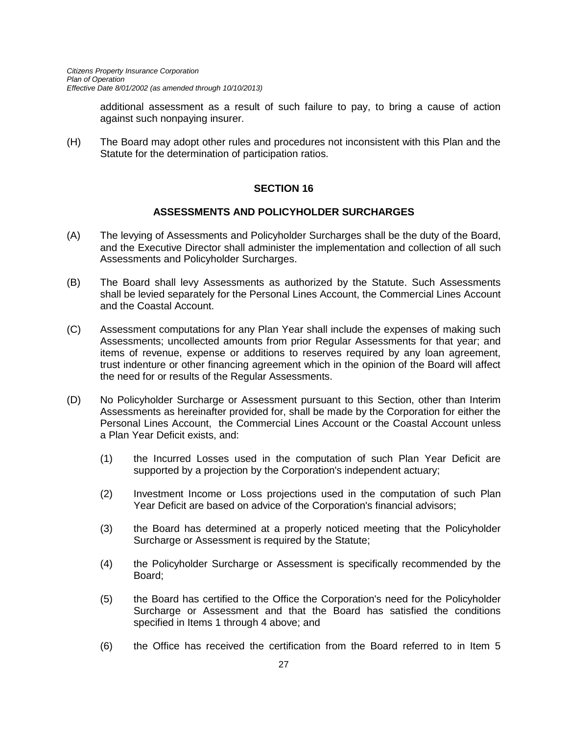additional assessment as a result of such failure to pay, to bring a cause of action against such nonpaying insurer.

(H) The Board may adopt other rules and procedures not inconsistent with this Plan and the Statute for the determination of participation ratios.

## **SECTION 16**

#### **ASSESSMENTS AND POLICYHOLDER SURCHARGES**

- (A) The levying of Assessments and Policyholder Surcharges shall be the duty of the Board, and the Executive Director shall administer the implementation and collection of all such Assessments and Policyholder Surcharges.
- (B) The Board shall levy Assessments as authorized by the Statute. Such Assessments shall be levied separately for the Personal Lines Account, the Commercial Lines Account and the Coastal Account.
- (C) Assessment computations for any Plan Year shall include the expenses of making such Assessments; uncollected amounts from prior Regular Assessments for that year; and items of revenue, expense or additions to reserves required by any loan agreement, trust indenture or other financing agreement which in the opinion of the Board will affect the need for or results of the Regular Assessments.
- (D) No Policyholder Surcharge or Assessment pursuant to this Section, other than Interim Assessments as hereinafter provided for, shall be made by the Corporation for either the Personal Lines Account, the Commercial Lines Account or the Coastal Account unless a Plan Year Deficit exists, and:
	- (1) the Incurred Losses used in the computation of such Plan Year Deficit are supported by a projection by the Corporation's independent actuary;
	- (2) Investment Income or Loss projections used in the computation of such Plan Year Deficit are based on advice of the Corporation's financial advisors;
	- (3) the Board has determined at a properly noticed meeting that the Policyholder Surcharge or Assessment is required by the Statute;
	- (4) the Policyholder Surcharge or Assessment is specifically recommended by the Board;
	- (5) the Board has certified to the Office the Corporation's need for the Policyholder Surcharge or Assessment and that the Board has satisfied the conditions specified in Items 1 through 4 above; and
	- (6) the Office has received the certification from the Board referred to in Item 5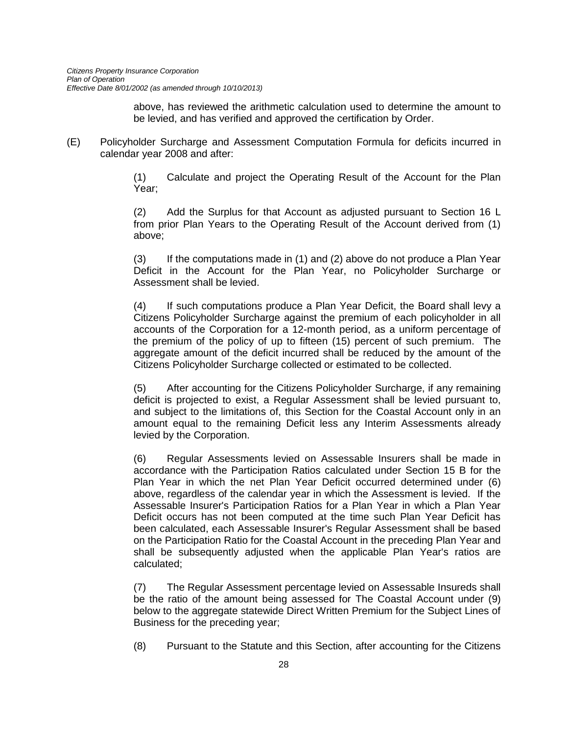above, has reviewed the arithmetic calculation used to determine the amount to be levied, and has verified and approved the certification by Order.

(E) Policyholder Surcharge and Assessment Computation Formula for deficits incurred in calendar year 2008 and after:

> (1) Calculate and project the Operating Result of the Account for the Plan Year;

> (2) Add the Surplus for that Account as adjusted pursuant to Section 16 L from prior Plan Years to the Operating Result of the Account derived from (1) above;

> (3) If the computations made in (1) and (2) above do not produce a Plan Year Deficit in the Account for the Plan Year, no Policyholder Surcharge or Assessment shall be levied.

> (4) If such computations produce a Plan Year Deficit, the Board shall levy a Citizens Policyholder Surcharge against the premium of each policyholder in all accounts of the Corporation for a 12-month period, as a uniform percentage of the premium of the policy of up to fifteen (15) percent of such premium. The aggregate amount of the deficit incurred shall be reduced by the amount of the Citizens Policyholder Surcharge collected or estimated to be collected.

> (5) After accounting for the Citizens Policyholder Surcharge, if any remaining deficit is projected to exist, a Regular Assessment shall be levied pursuant to, and subject to the limitations of, this Section for the Coastal Account only in an amount equal to the remaining Deficit less any Interim Assessments already levied by the Corporation.

> (6) Regular Assessments levied on Assessable Insurers shall be made in accordance with the Participation Ratios calculated under Section 15 B for the Plan Year in which the net Plan Year Deficit occurred determined under (6) above, regardless of the calendar year in which the Assessment is levied. If the Assessable Insurer's Participation Ratios for a Plan Year in which a Plan Year Deficit occurs has not been computed at the time such Plan Year Deficit has been calculated, each Assessable Insurer's Regular Assessment shall be based on the Participation Ratio for the Coastal Account in the preceding Plan Year and shall be subsequently adjusted when the applicable Plan Year's ratios are calculated;

> (7) The Regular Assessment percentage levied on Assessable Insureds shall be the ratio of the amount being assessed for The Coastal Account under (9) below to the aggregate statewide Direct Written Premium for the Subject Lines of Business for the preceding year;

> (8) Pursuant to the Statute and this Section, after accounting for the Citizens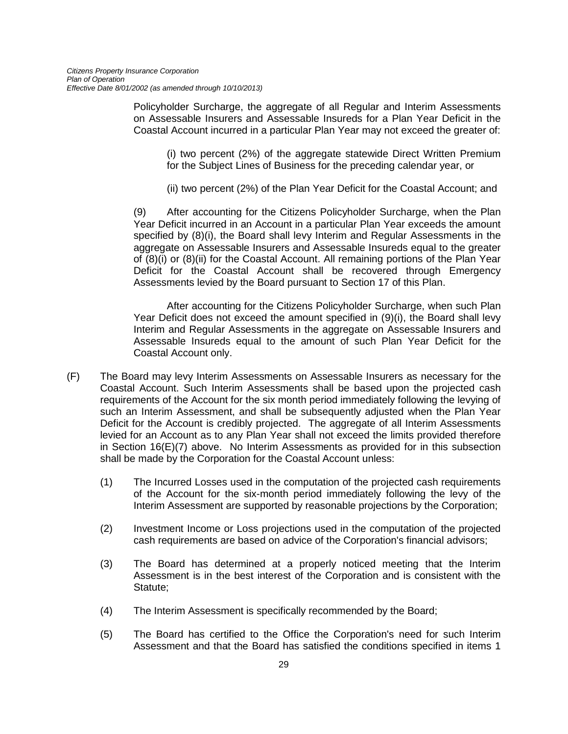Policyholder Surcharge, the aggregate of all Regular and Interim Assessments on Assessable Insurers and Assessable Insureds for a Plan Year Deficit in the Coastal Account incurred in a particular Plan Year may not exceed the greater of:

(i) two percent (2%) of the aggregate statewide Direct Written Premium for the Subject Lines of Business for the preceding calendar year, or

(ii) two percent (2%) of the Plan Year Deficit for the Coastal Account; and

(9) After accounting for the Citizens Policyholder Surcharge, when the Plan Year Deficit incurred in an Account in a particular Plan Year exceeds the amount specified by (8)(i), the Board shall levy Interim and Regular Assessments in the aggregate on Assessable Insurers and Assessable Insureds equal to the greater of (8)(i) or (8)(ii) for the Coastal Account. All remaining portions of the Plan Year Deficit for the Coastal Account shall be recovered through Emergency Assessments levied by the Board pursuant to Section 17 of this Plan.

After accounting for the Citizens Policyholder Surcharge, when such Plan Year Deficit does not exceed the amount specified in (9)(i), the Board shall levy Interim and Regular Assessments in the aggregate on Assessable Insurers and Assessable Insureds equal to the amount of such Plan Year Deficit for the Coastal Account only.

- (F) The Board may levy Interim Assessments on Assessable Insurers as necessary for the Coastal Account. Such Interim Assessments shall be based upon the projected cash requirements of the Account for the six month period immediately following the levying of such an Interim Assessment, and shall be subsequently adjusted when the Plan Year Deficit for the Account is credibly projected. The aggregate of all Interim Assessments levied for an Account as to any Plan Year shall not exceed the limits provided therefore in Section 16(E)(7) above. No Interim Assessments as provided for in this subsection shall be made by the Corporation for the Coastal Account unless:
	- (1) The Incurred Losses used in the computation of the projected cash requirements of the Account for the six-month period immediately following the levy of the Interim Assessment are supported by reasonable projections by the Corporation;
	- (2) Investment Income or Loss projections used in the computation of the projected cash requirements are based on advice of the Corporation's financial advisors;
	- (3) The Board has determined at a properly noticed meeting that the Interim Assessment is in the best interest of the Corporation and is consistent with the Statute;
	- (4) The Interim Assessment is specifically recommended by the Board;
	- (5) The Board has certified to the Office the Corporation's need for such Interim Assessment and that the Board has satisfied the conditions specified in items 1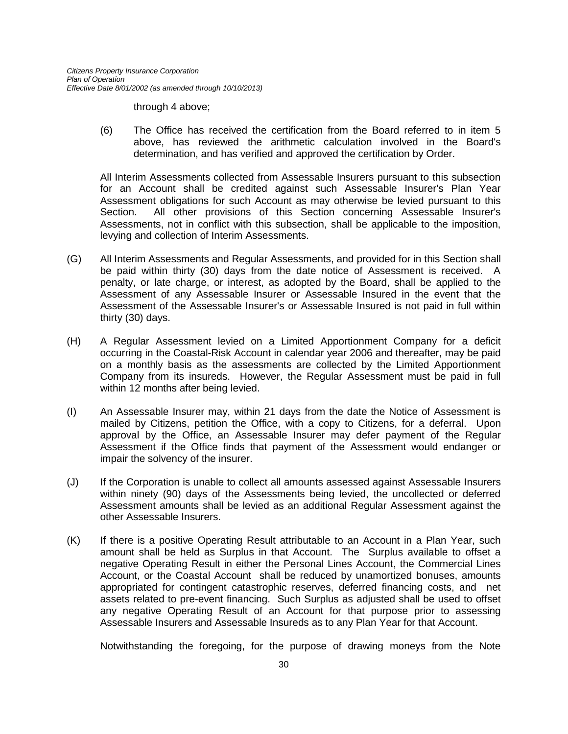through 4 above;

(6) The Office has received the certification from the Board referred to in item 5 above, has reviewed the arithmetic calculation involved in the Board's determination, and has verified and approved the certification by Order.

All Interim Assessments collected from Assessable Insurers pursuant to this subsection for an Account shall be credited against such Assessable Insurer's Plan Year Assessment obligations for such Account as may otherwise be levied pursuant to this Section. All other provisions of this Section concerning Assessable Insurer's Assessments, not in conflict with this subsection, shall be applicable to the imposition, levying and collection of Interim Assessments.

- (G) All Interim Assessments and Regular Assessments, and provided for in this Section shall be paid within thirty (30) days from the date notice of Assessment is received. A penalty, or late charge, or interest, as adopted by the Board, shall be applied to the Assessment of any Assessable Insurer or Assessable Insured in the event that the Assessment of the Assessable Insurer's or Assessable Insured is not paid in full within thirty (30) days.
- (H) A Regular Assessment levied on a Limited Apportionment Company for a deficit occurring in the Coastal-Risk Account in calendar year 2006 and thereafter, may be paid on a monthly basis as the assessments are collected by the Limited Apportionment Company from its insureds. However, the Regular Assessment must be paid in full within 12 months after being levied.
- (I) An Assessable Insurer may, within 21 days from the date the Notice of Assessment is mailed by Citizens, petition the Office, with a copy to Citizens, for a deferral. Upon approval by the Office, an Assessable Insurer may defer payment of the Regular Assessment if the Office finds that payment of the Assessment would endanger or impair the solvency of the insurer.
- (J) If the Corporation is unable to collect all amounts assessed against Assessable Insurers within ninety (90) days of the Assessments being levied, the uncollected or deferred Assessment amounts shall be levied as an additional Regular Assessment against the other Assessable Insurers.
- (K) If there is a positive Operating Result attributable to an Account in a Plan Year, such amount shall be held as Surplus in that Account. The Surplus available to offset a negative Operating Result in either the Personal Lines Account, the Commercial Lines Account, or the Coastal Account shall be reduced by unamortized bonuses, amounts appropriated for contingent catastrophic reserves, deferred financing costs, and net assets related to pre-event financing. Such Surplus as adjusted shall be used to offset any negative Operating Result of an Account for that purpose prior to assessing Assessable Insurers and Assessable Insureds as to any Plan Year for that Account.

Notwithstanding the foregoing, for the purpose of drawing moneys from the Note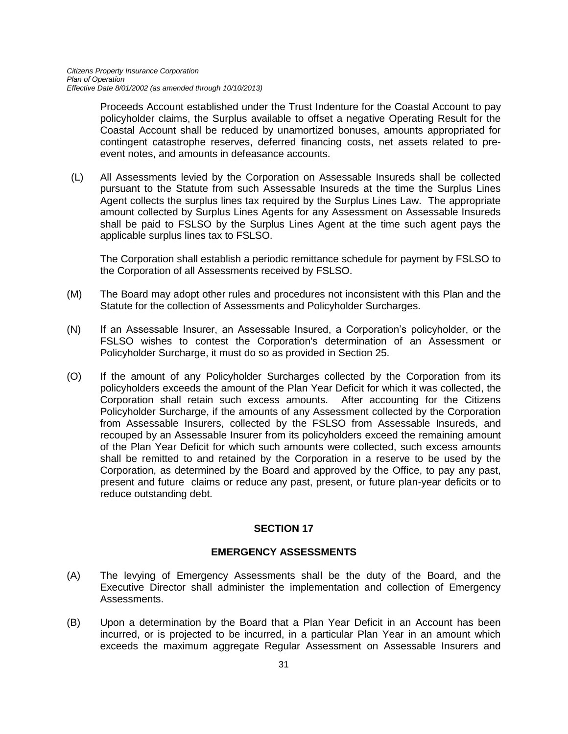Proceeds Account established under the Trust Indenture for the Coastal Account to pay policyholder claims, the Surplus available to offset a negative Operating Result for the Coastal Account shall be reduced by unamortized bonuses, amounts appropriated for contingent catastrophe reserves, deferred financing costs, net assets related to preevent notes, and amounts in defeasance accounts.

(L) All Assessments levied by the Corporation on Assessable Insureds shall be collected pursuant to the Statute from such Assessable Insureds at the time the Surplus Lines Agent collects the surplus lines tax required by the Surplus Lines Law. The appropriate amount collected by Surplus Lines Agents for any Assessment on Assessable Insureds shall be paid to FSLSO by the Surplus Lines Agent at the time such agent pays the applicable surplus lines tax to FSLSO.

The Corporation shall establish a periodic remittance schedule for payment by FSLSO to the Corporation of all Assessments received by FSLSO.

- (M) The Board may adopt other rules and procedures not inconsistent with this Plan and the Statute for the collection of Assessments and Policyholder Surcharges.
- (N) If an Assessable Insurer, an Assessable Insured, a Corporation's policyholder, or the FSLSO wishes to contest the Corporation's determination of an Assessment or Policyholder Surcharge, it must do so as provided in Section 25.
- (O) If the amount of any Policyholder Surcharges collected by the Corporation from its policyholders exceeds the amount of the Plan Year Deficit for which it was collected, the Corporation shall retain such excess amounts. After accounting for the Citizens Policyholder Surcharge, if the amounts of any Assessment collected by the Corporation from Assessable Insurers, collected by the FSLSO from Assessable Insureds, and recouped by an Assessable Insurer from its policyholders exceed the remaining amount of the Plan Year Deficit for which such amounts were collected, such excess amounts shall be remitted to and retained by the Corporation in a reserve to be used by the Corporation, as determined by the Board and approved by the Office, to pay any past, present and future claims or reduce any past, present, or future plan-year deficits or to reduce outstanding debt.

## **SECTION 17**

#### **EMERGENCY ASSESSMENTS**

- (A) The levying of Emergency Assessments shall be the duty of the Board, and the Executive Director shall administer the implementation and collection of Emergency Assessments.
- (B) Upon a determination by the Board that a Plan Year Deficit in an Account has been incurred, or is projected to be incurred, in a particular Plan Year in an amount which exceeds the maximum aggregate Regular Assessment on Assessable Insurers and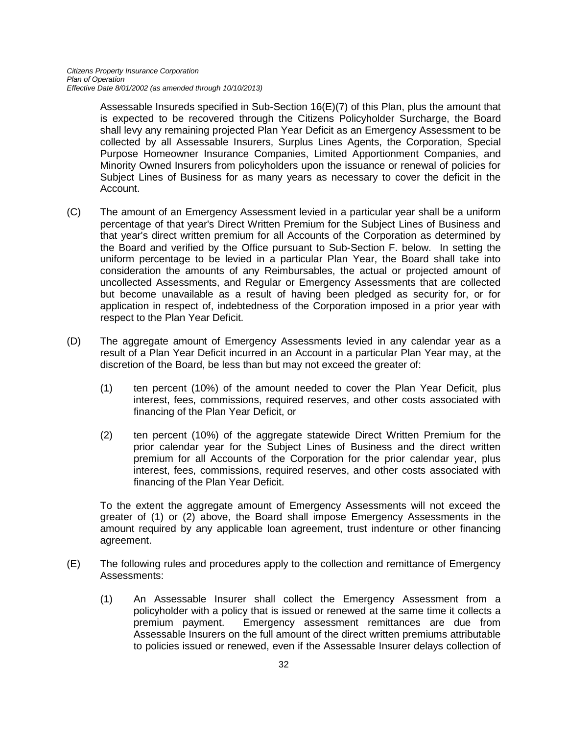Assessable Insureds specified in Sub-Section 16(E)(7) of this Plan, plus the amount that is expected to be recovered through the Citizens Policyholder Surcharge, the Board shall levy any remaining projected Plan Year Deficit as an Emergency Assessment to be collected by all Assessable Insurers, Surplus Lines Agents, the Corporation, Special Purpose Homeowner Insurance Companies, Limited Apportionment Companies, and Minority Owned Insurers from policyholders upon the issuance or renewal of policies for Subject Lines of Business for as many years as necessary to cover the deficit in the Account.

- (C) The amount of an Emergency Assessment levied in a particular year shall be a uniform percentage of that year's Direct Written Premium for the Subject Lines of Business and that year's direct written premium for all Accounts of the Corporation as determined by the Board and verified by the Office pursuant to Sub-Section F. below. In setting the uniform percentage to be levied in a particular Plan Year, the Board shall take into consideration the amounts of any Reimbursables, the actual or projected amount of uncollected Assessments, and Regular or Emergency Assessments that are collected but become unavailable as a result of having been pledged as security for, or for application in respect of, indebtedness of the Corporation imposed in a prior year with respect to the Plan Year Deficit.
- (D) The aggregate amount of Emergency Assessments levied in any calendar year as a result of a Plan Year Deficit incurred in an Account in a particular Plan Year may, at the discretion of the Board, be less than but may not exceed the greater of:
	- (1) ten percent (10%) of the amount needed to cover the Plan Year Deficit, plus interest, fees, commissions, required reserves, and other costs associated with financing of the Plan Year Deficit, or
	- (2) ten percent (10%) of the aggregate statewide Direct Written Premium for the prior calendar year for the Subject Lines of Business and the direct written premium for all Accounts of the Corporation for the prior calendar year, plus interest, fees, commissions, required reserves, and other costs associated with financing of the Plan Year Deficit.

To the extent the aggregate amount of Emergency Assessments will not exceed the greater of (1) or (2) above, the Board shall impose Emergency Assessments in the amount required by any applicable loan agreement, trust indenture or other financing agreement.

- (E) The following rules and procedures apply to the collection and remittance of Emergency Assessments:
	- (1) An Assessable Insurer shall collect the Emergency Assessment from a policyholder with a policy that is issued or renewed at the same time it collects a premium payment. Emergency assessment remittances are due from Assessable Insurers on the full amount of the direct written premiums attributable to policies issued or renewed, even if the Assessable Insurer delays collection of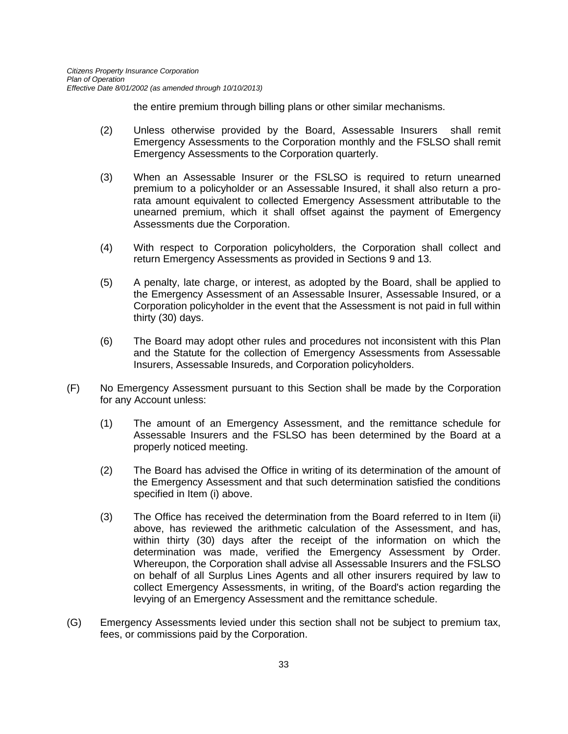the entire premium through billing plans or other similar mechanisms.

- (2) Unless otherwise provided by the Board, Assessable Insurers shall remit Emergency Assessments to the Corporation monthly and the FSLSO shall remit Emergency Assessments to the Corporation quarterly.
- (3) When an Assessable Insurer or the FSLSO is required to return unearned premium to a policyholder or an Assessable Insured, it shall also return a prorata amount equivalent to collected Emergency Assessment attributable to the unearned premium, which it shall offset against the payment of Emergency Assessments due the Corporation.
- (4) With respect to Corporation policyholders, the Corporation shall collect and return Emergency Assessments as provided in Sections 9 and 13.
- (5) A penalty, late charge, or interest, as adopted by the Board, shall be applied to the Emergency Assessment of an Assessable Insurer, Assessable Insured, or a Corporation policyholder in the event that the Assessment is not paid in full within thirty (30) days.
- (6) The Board may adopt other rules and procedures not inconsistent with this Plan and the Statute for the collection of Emergency Assessments from Assessable Insurers, Assessable Insureds, and Corporation policyholders.
- (F) No Emergency Assessment pursuant to this Section shall be made by the Corporation for any Account unless:
	- (1) The amount of an Emergency Assessment, and the remittance schedule for Assessable Insurers and the FSLSO has been determined by the Board at a properly noticed meeting.
	- (2) The Board has advised the Office in writing of its determination of the amount of the Emergency Assessment and that such determination satisfied the conditions specified in Item (i) above.
	- (3) The Office has received the determination from the Board referred to in Item (ii) above, has reviewed the arithmetic calculation of the Assessment, and has, within thirty (30) days after the receipt of the information on which the determination was made, verified the Emergency Assessment by Order. Whereupon, the Corporation shall advise all Assessable Insurers and the FSLSO on behalf of all Surplus Lines Agents and all other insurers required by law to collect Emergency Assessments, in writing, of the Board's action regarding the levying of an Emergency Assessment and the remittance schedule.
- (G) Emergency Assessments levied under this section shall not be subject to premium tax, fees, or commissions paid by the Corporation.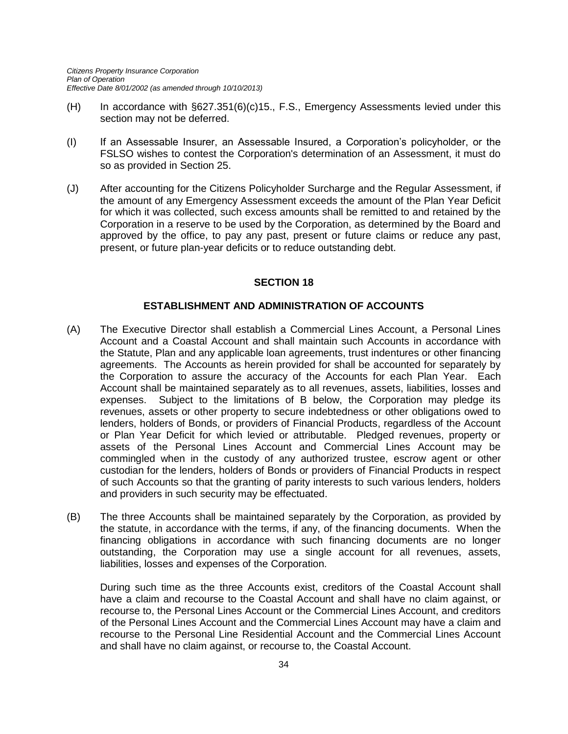- (H) In accordance with §627.351(6)(c)15., F.S., Emergency Assessments levied under this section may not be deferred.
- (I) If an Assessable Insurer, an Assessable Insured, a Corporation's policyholder, or the FSLSO wishes to contest the Corporation's determination of an Assessment, it must do so as provided in Section 25.
- (J) After accounting for the Citizens Policyholder Surcharge and the Regular Assessment, if the amount of any Emergency Assessment exceeds the amount of the Plan Year Deficit for which it was collected, such excess amounts shall be remitted to and retained by the Corporation in a reserve to be used by the Corporation, as determined by the Board and approved by the office, to pay any past, present or future claims or reduce any past, present, or future plan-year deficits or to reduce outstanding debt.

#### **SECTION 18**

## **ESTABLISHMENT AND ADMINISTRATION OF ACCOUNTS**

- (A) The Executive Director shall establish a Commercial Lines Account, a Personal Lines Account and a Coastal Account and shall maintain such Accounts in accordance with the Statute, Plan and any applicable loan agreements, trust indentures or other financing agreements. The Accounts as herein provided for shall be accounted for separately by the Corporation to assure the accuracy of the Accounts for each Plan Year. Each Account shall be maintained separately as to all revenues, assets, liabilities, losses and expenses. Subject to the limitations of B below, the Corporation may pledge its revenues, assets or other property to secure indebtedness or other obligations owed to lenders, holders of Bonds, or providers of Financial Products, regardless of the Account or Plan Year Deficit for which levied or attributable. Pledged revenues, property or assets of the Personal Lines Account and Commercial Lines Account may be commingled when in the custody of any authorized trustee, escrow agent or other custodian for the lenders, holders of Bonds or providers of Financial Products in respect of such Accounts so that the granting of parity interests to such various lenders, holders and providers in such security may be effectuated.
- (B) The three Accounts shall be maintained separately by the Corporation, as provided by the statute, in accordance with the terms, if any, of the financing documents. When the financing obligations in accordance with such financing documents are no longer outstanding, the Corporation may use a single account for all revenues, assets, liabilities, losses and expenses of the Corporation.

During such time as the three Accounts exist, creditors of the Coastal Account shall have a claim and recourse to the Coastal Account and shall have no claim against, or recourse to, the Personal Lines Account or the Commercial Lines Account, and creditors of the Personal Lines Account and the Commercial Lines Account may have a claim and recourse to the Personal Line Residential Account and the Commercial Lines Account and shall have no claim against, or recourse to, the Coastal Account.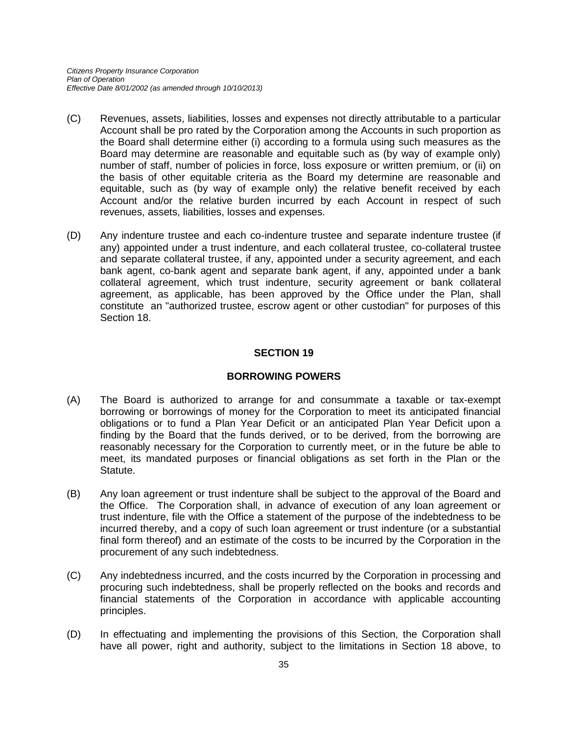- (C) Revenues, assets, liabilities, losses and expenses not directly attributable to a particular Account shall be pro rated by the Corporation among the Accounts in such proportion as the Board shall determine either (i) according to a formula using such measures as the Board may determine are reasonable and equitable such as (by way of example only) number of staff, number of policies in force, loss exposure or written premium, or (ii) on the basis of other equitable criteria as the Board my determine are reasonable and equitable, such as (by way of example only) the relative benefit received by each Account and/or the relative burden incurred by each Account in respect of such revenues, assets, liabilities, losses and expenses.
- (D) Any indenture trustee and each co-indenture trustee and separate indenture trustee (if any) appointed under a trust indenture, and each collateral trustee, co-collateral trustee and separate collateral trustee, if any, appointed under a security agreement, and each bank agent, co-bank agent and separate bank agent, if any, appointed under a bank collateral agreement, which trust indenture, security agreement or bank collateral agreement, as applicable, has been approved by the Office under the Plan, shall constitute an "authorized trustee, escrow agent or other custodian" for purposes of this Section 18.

#### **SECTION 19**

#### **BORROWING POWERS**

- (A) The Board is authorized to arrange for and consummate a taxable or tax-exempt borrowing or borrowings of money for the Corporation to meet its anticipated financial obligations or to fund a Plan Year Deficit or an anticipated Plan Year Deficit upon a finding by the Board that the funds derived, or to be derived, from the borrowing are reasonably necessary for the Corporation to currently meet, or in the future be able to meet, its mandated purposes or financial obligations as set forth in the Plan or the Statute.
- (B) Any loan agreement or trust indenture shall be subject to the approval of the Board and the Office. The Corporation shall, in advance of execution of any loan agreement or trust indenture, file with the Office a statement of the purpose of the indebtedness to be incurred thereby, and a copy of such loan agreement or trust indenture (or a substantial final form thereof) and an estimate of the costs to be incurred by the Corporation in the procurement of any such indebtedness.
- (C) Any indebtedness incurred, and the costs incurred by the Corporation in processing and procuring such indebtedness, shall be properly reflected on the books and records and financial statements of the Corporation in accordance with applicable accounting principles.
- (D) In effectuating and implementing the provisions of this Section, the Corporation shall have all power, right and authority, subject to the limitations in Section 18 above, to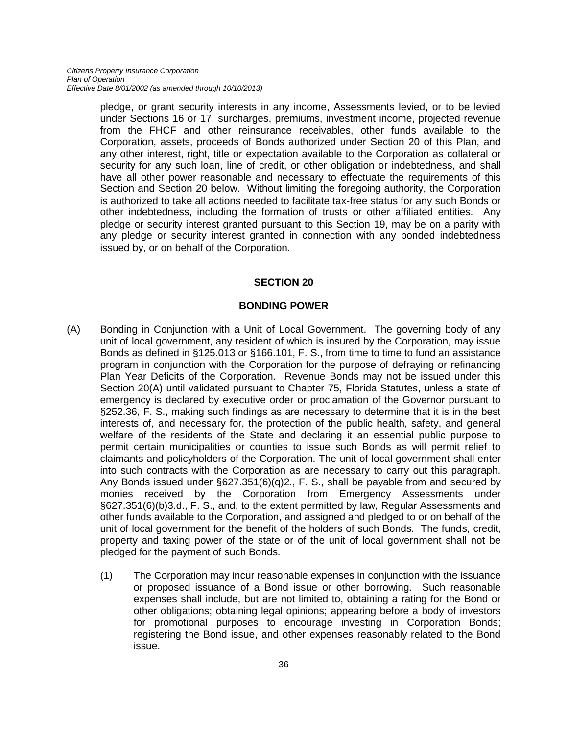pledge, or grant security interests in any income, Assessments levied, or to be levied under Sections 16 or 17, surcharges, premiums, investment income, projected revenue from the FHCF and other reinsurance receivables, other funds available to the Corporation, assets, proceeds of Bonds authorized under Section 20 of this Plan, and any other interest, right, title or expectation available to the Corporation as collateral or security for any such loan, line of credit, or other obligation or indebtedness, and shall have all other power reasonable and necessary to effectuate the requirements of this Section and Section 20 below. Without limiting the foregoing authority, the Corporation is authorized to take all actions needed to facilitate tax-free status for any such Bonds or other indebtedness, including the formation of trusts or other affiliated entities. Any pledge or security interest granted pursuant to this Section 19, may be on a parity with any pledge or security interest granted in connection with any bonded indebtedness issued by, or on behalf of the Corporation.

#### **SECTION 20**

## **BONDING POWER**

- (A) Bonding in Conjunction with a Unit of Local Government. The governing body of any unit of local government, any resident of which is insured by the Corporation, may issue Bonds as defined in §125.013 or §166.101, F. S., from time to time to fund an assistance program in conjunction with the Corporation for the purpose of defraying or refinancing Plan Year Deficits of the Corporation. Revenue Bonds may not be issued under this Section 20(A) until validated pursuant to Chapter 75, Florida Statutes, unless a state of emergency is declared by executive order or proclamation of the Governor pursuant to §252.36, F. S., making such findings as are necessary to determine that it is in the best interests of, and necessary for, the protection of the public health, safety, and general welfare of the residents of the State and declaring it an essential public purpose to permit certain municipalities or counties to issue such Bonds as will permit relief to claimants and policyholders of the Corporation. The unit of local government shall enter into such contracts with the Corporation as are necessary to carry out this paragraph. Any Bonds issued under §627.351(6)(q)2., F. S., shall be payable from and secured by monies received by the Corporation from Emergency Assessments under §627.351(6)(b)3.d., F. S., and, to the extent permitted by law, Regular Assessments and other funds available to the Corporation, and assigned and pledged to or on behalf of the unit of local government for the benefit of the holders of such Bonds. The funds, credit, property and taxing power of the state or of the unit of local government shall not be pledged for the payment of such Bonds.
	- (1) The Corporation may incur reasonable expenses in conjunction with the issuance or proposed issuance of a Bond issue or other borrowing. Such reasonable expenses shall include, but are not limited to, obtaining a rating for the Bond or other obligations; obtaining legal opinions; appearing before a body of investors for promotional purposes to encourage investing in Corporation Bonds; registering the Bond issue, and other expenses reasonably related to the Bond issue.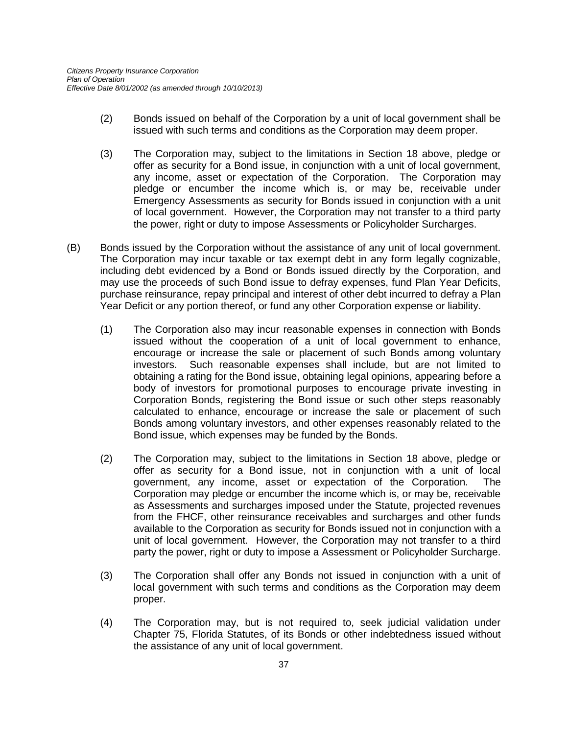- (2) Bonds issued on behalf of the Corporation by a unit of local government shall be issued with such terms and conditions as the Corporation may deem proper.
- (3) The Corporation may, subject to the limitations in Section 18 above, pledge or offer as security for a Bond issue, in conjunction with a unit of local government, any income, asset or expectation of the Corporation. The Corporation may pledge or encumber the income which is, or may be, receivable under Emergency Assessments as security for Bonds issued in conjunction with a unit of local government. However, the Corporation may not transfer to a third party the power, right or duty to impose Assessments or Policyholder Surcharges.
- (B) Bonds issued by the Corporation without the assistance of any unit of local government. The Corporation may incur taxable or tax exempt debt in any form legally cognizable, including debt evidenced by a Bond or Bonds issued directly by the Corporation, and may use the proceeds of such Bond issue to defray expenses, fund Plan Year Deficits, purchase reinsurance, repay principal and interest of other debt incurred to defray a Plan Year Deficit or any portion thereof, or fund any other Corporation expense or liability.
	- (1) The Corporation also may incur reasonable expenses in connection with Bonds issued without the cooperation of a unit of local government to enhance, encourage or increase the sale or placement of such Bonds among voluntary investors. Such reasonable expenses shall include, but are not limited to obtaining a rating for the Bond issue, obtaining legal opinions, appearing before a body of investors for promotional purposes to encourage private investing in Corporation Bonds, registering the Bond issue or such other steps reasonably calculated to enhance, encourage or increase the sale or placement of such Bonds among voluntary investors, and other expenses reasonably related to the Bond issue, which expenses may be funded by the Bonds.
	- (2) The Corporation may, subject to the limitations in Section 18 above, pledge or offer as security for a Bond issue, not in conjunction with a unit of local government, any income, asset or expectation of the Corporation. The Corporation may pledge or encumber the income which is, or may be, receivable as Assessments and surcharges imposed under the Statute, projected revenues from the FHCF, other reinsurance receivables and surcharges and other funds available to the Corporation as security for Bonds issued not in conjunction with a unit of local government. However, the Corporation may not transfer to a third party the power, right or duty to impose a Assessment or Policyholder Surcharge.
	- (3) The Corporation shall offer any Bonds not issued in conjunction with a unit of local government with such terms and conditions as the Corporation may deem proper.
	- (4) The Corporation may, but is not required to, seek judicial validation under Chapter 75, Florida Statutes, of its Bonds or other indebtedness issued without the assistance of any unit of local government.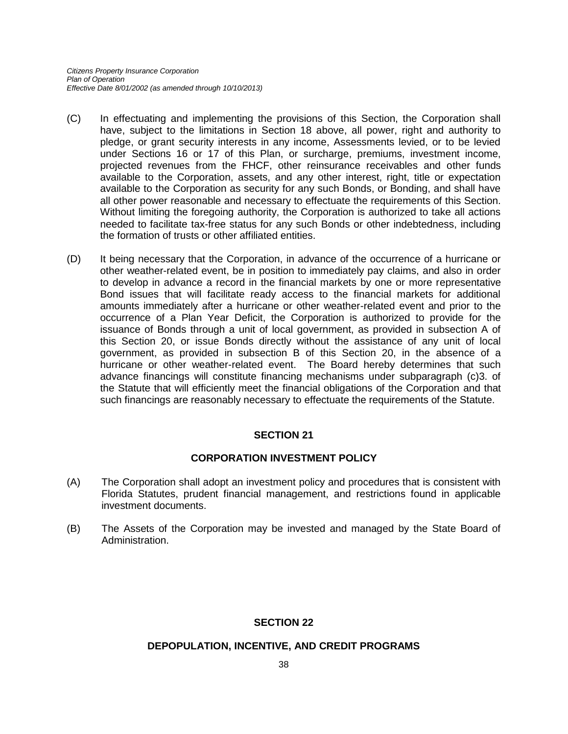- (C) In effectuating and implementing the provisions of this Section, the Corporation shall have, subject to the limitations in Section 18 above, all power, right and authority to pledge, or grant security interests in any income, Assessments levied, or to be levied under Sections 16 or 17 of this Plan, or surcharge, premiums, investment income, projected revenues from the FHCF, other reinsurance receivables and other funds available to the Corporation, assets, and any other interest, right, title or expectation available to the Corporation as security for any such Bonds, or Bonding, and shall have all other power reasonable and necessary to effectuate the requirements of this Section. Without limiting the foregoing authority, the Corporation is authorized to take all actions needed to facilitate tax-free status for any such Bonds or other indebtedness, including the formation of trusts or other affiliated entities.
- (D) It being necessary that the Corporation, in advance of the occurrence of a hurricane or other weather-related event, be in position to immediately pay claims, and also in order to develop in advance a record in the financial markets by one or more representative Bond issues that will facilitate ready access to the financial markets for additional amounts immediately after a hurricane or other weather-related event and prior to the occurrence of a Plan Year Deficit, the Corporation is authorized to provide for the issuance of Bonds through a unit of local government, as provided in subsection A of this Section 20, or issue Bonds directly without the assistance of any unit of local government, as provided in subsection B of this Section 20, in the absence of a hurricane or other weather-related event. The Board hereby determines that such advance financings will constitute financing mechanisms under subparagraph (c)3. of the Statute that will efficiently meet the financial obligations of the Corporation and that such financings are reasonably necessary to effectuate the requirements of the Statute.

## **SECTION 21**

## **CORPORATION INVESTMENT POLICY**

- (A) The Corporation shall adopt an investment policy and procedures that is consistent with Florida Statutes, prudent financial management, and restrictions found in applicable investment documents.
- (B) The Assets of the Corporation may be invested and managed by the State Board of Administration.

## **SECTION 22**

#### **DEPOPULATION, INCENTIVE, AND CREDIT PROGRAMS**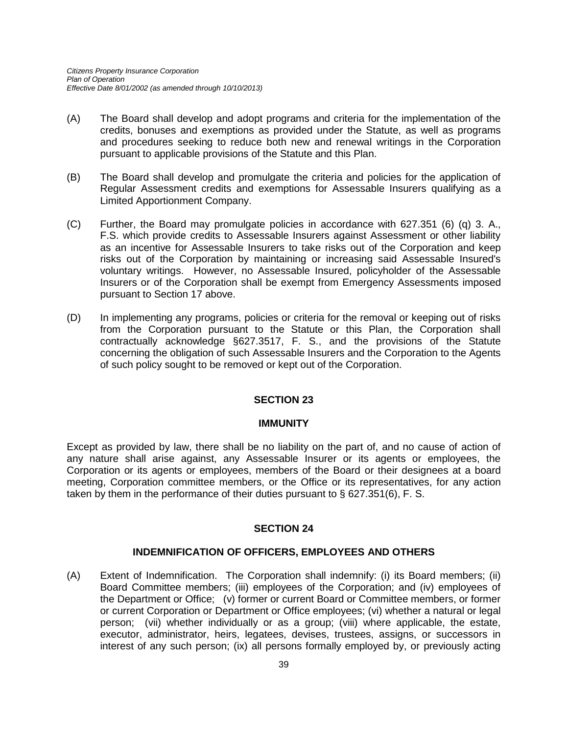- (A) The Board shall develop and adopt programs and criteria for the implementation of the credits, bonuses and exemptions as provided under the Statute, as well as programs and procedures seeking to reduce both new and renewal writings in the Corporation pursuant to applicable provisions of the Statute and this Plan.
- (B) The Board shall develop and promulgate the criteria and policies for the application of Regular Assessment credits and exemptions for Assessable Insurers qualifying as a Limited Apportionment Company.
- (C) Further, the Board may promulgate policies in accordance with 627.351 (6) (q) 3. A., F.S. which provide credits to Assessable Insurers against Assessment or other liability as an incentive for Assessable Insurers to take risks out of the Corporation and keep risks out of the Corporation by maintaining or increasing said Assessable Insured's voluntary writings. However, no Assessable Insured, policyholder of the Assessable Insurers or of the Corporation shall be exempt from Emergency Assessments imposed pursuant to Section 17 above.
- (D) In implementing any programs, policies or criteria for the removal or keeping out of risks from the Corporation pursuant to the Statute or this Plan, the Corporation shall contractually acknowledge §627.3517, F. S., and the provisions of the Statute concerning the obligation of such Assessable Insurers and the Corporation to the Agents of such policy sought to be removed or kept out of the Corporation.

## **SECTION 23**

#### **IMMUNITY**

Except as provided by law, there shall be no liability on the part of, and no cause of action of any nature shall arise against, any Assessable Insurer or its agents or employees, the Corporation or its agents or employees, members of the Board or their designees at a board meeting, Corporation committee members, or the Office or its representatives, for any action taken by them in the performance of their duties pursuant to § 627.351(6), F. S.

#### **SECTION 24**

#### **INDEMNIFICATION OF OFFICERS, EMPLOYEES AND OTHERS**

(A) Extent of Indemnification. The Corporation shall indemnify: (i) its Board members; (ii) Board Committee members; (iii) employees of the Corporation; and (iv) employees of the Department or Office; (v) former or current Board or Committee members, or former or current Corporation or Department or Office employees; (vi) whether a natural or legal person; (vii) whether individually or as a group; (viii) where applicable, the estate, executor, administrator, heirs, legatees, devises, trustees, assigns, or successors in interest of any such person; (ix) all persons formally employed by, or previously acting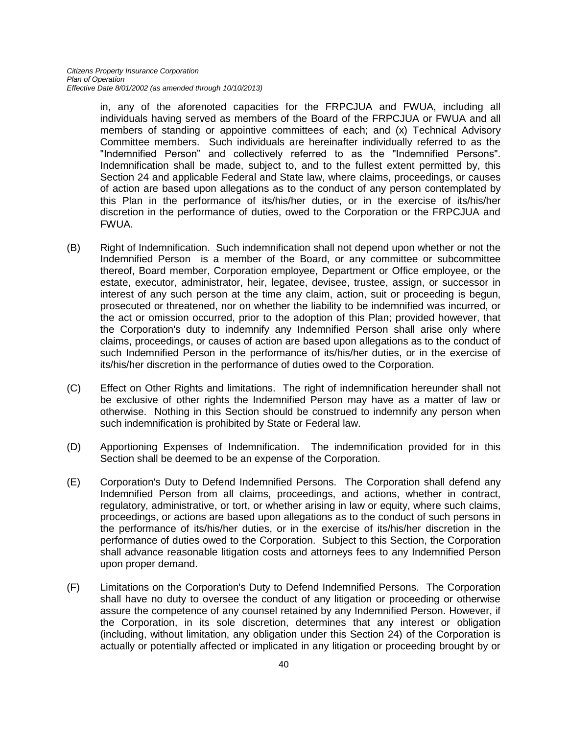in, any of the aforenoted capacities for the FRPCJUA and FWUA, including all individuals having served as members of the Board of the FRPCJUA or FWUA and all members of standing or appointive committees of each; and (x) Technical Advisory Committee members. Such individuals are hereinafter individually referred to as the "Indemnified Person" and collectively referred to as the "Indemnified Persons". Indemnification shall be made, subject to, and to the fullest extent permitted by, this Section 24 and applicable Federal and State law, where claims, proceedings, or causes of action are based upon allegations as to the conduct of any person contemplated by this Plan in the performance of its/his/her duties, or in the exercise of its/his/her discretion in the performance of duties, owed to the Corporation or the FRPCJUA and FWUA.

- (B) Right of Indemnification. Such indemnification shall not depend upon whether or not the Indemnified Person is a member of the Board, or any committee or subcommittee thereof, Board member, Corporation employee, Department or Office employee, or the estate, executor, administrator, heir, legatee, devisee, trustee, assign, or successor in interest of any such person at the time any claim, action, suit or proceeding is begun, prosecuted or threatened, nor on whether the liability to be indemnified was incurred, or the act or omission occurred, prior to the adoption of this Plan; provided however, that the Corporation's duty to indemnify any Indemnified Person shall arise only where claims, proceedings, or causes of action are based upon allegations as to the conduct of such Indemnified Person in the performance of its/his/her duties, or in the exercise of its/his/her discretion in the performance of duties owed to the Corporation.
- (C) Effect on Other Rights and limitations. The right of indemnification hereunder shall not be exclusive of other rights the Indemnified Person may have as a matter of law or otherwise. Nothing in this Section should be construed to indemnify any person when such indemnification is prohibited by State or Federal law.
- (D) Apportioning Expenses of Indemnification. The indemnification provided for in this Section shall be deemed to be an expense of the Corporation.
- (E) Corporation's Duty to Defend Indemnified Persons. The Corporation shall defend any Indemnified Person from all claims, proceedings, and actions, whether in contract, regulatory, administrative, or tort, or whether arising in law or equity, where such claims, proceedings, or actions are based upon allegations as to the conduct of such persons in the performance of its/his/her duties, or in the exercise of its/his/her discretion in the performance of duties owed to the Corporation. Subject to this Section, the Corporation shall advance reasonable litigation costs and attorneys fees to any Indemnified Person upon proper demand.
- (F) Limitations on the Corporation's Duty to Defend Indemnified Persons. The Corporation shall have no duty to oversee the conduct of any litigation or proceeding or otherwise assure the competence of any counsel retained by any Indemnified Person. However, if the Corporation, in its sole discretion, determines that any interest or obligation (including, without limitation, any obligation under this Section 24) of the Corporation is actually or potentially affected or implicated in any litigation or proceeding brought by or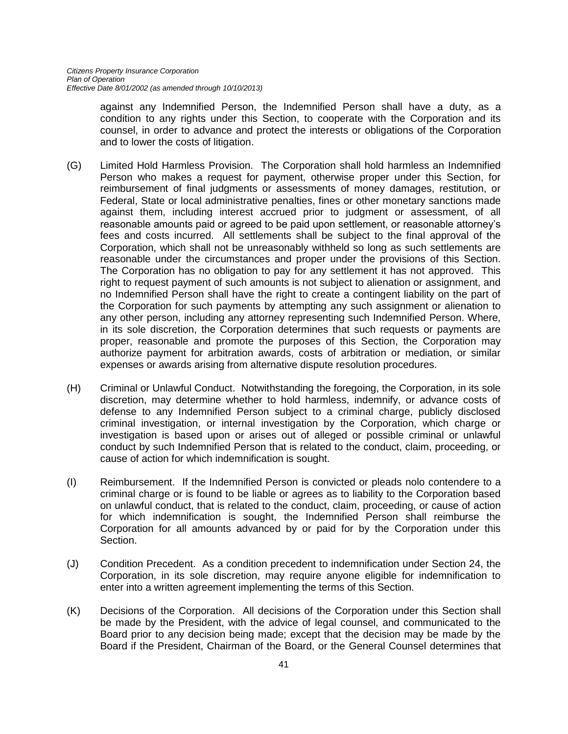against any Indemnified Person, the Indemnified Person shall have a duty, as a condition to any rights under this Section, to cooperate with the Corporation and its counsel, in order to advance and protect the interests or obligations of the Corporation and to lower the costs of litigation.

- (G) Limited Hold Harmless Provision. The Corporation shall hold harmless an Indemnified Person who makes a request for payment, otherwise proper under this Section, for reimbursement of final judgments or assessments of money damages, restitution, or Federal, State or local administrative penalties, fines or other monetary sanctions made against them, including interest accrued prior to judgment or assessment, of all reasonable amounts paid or agreed to be paid upon settlement, or reasonable attorney's fees and costs incurred. All settlements shall be subject to the final approval of the Corporation, which shall not be unreasonably withheld so long as such settlements are reasonable under the circumstances and proper under the provisions of this Section. The Corporation has no obligation to pay for any settlement it has not approved. This right to request payment of such amounts is not subject to alienation or assignment, and no Indemnified Person shall have the right to create a contingent liability on the part of the Corporation for such payments by attempting any such assignment or alienation to any other person, including any attorney representing such Indemnified Person. Where, in its sole discretion, the Corporation determines that such requests or payments are proper, reasonable and promote the purposes of this Section, the Corporation may authorize payment for arbitration awards, costs of arbitration or mediation, or similar expenses or awards arising from alternative dispute resolution procedures.
- (H) Criminal or Unlawful Conduct. Notwithstanding the foregoing, the Corporation, in its sole discretion, may determine whether to hold harmless, indemnify, or advance costs of defense to any Indemnified Person subject to a criminal charge, publicly disclosed criminal investigation, or internal investigation by the Corporation, which charge or investigation is based upon or arises out of alleged or possible criminal or unlawful conduct by such Indemnified Person that is related to the conduct, claim, proceeding, or cause of action for which indemnification is sought.
- (I) Reimbursement. If the Indemnified Person is convicted or pleads nolo contendere to a criminal charge or is found to be liable or agrees as to liability to the Corporation based on unlawful conduct, that is related to the conduct, claim, proceeding, or cause of action for which indemnification is sought, the Indemnified Person shall reimburse the Corporation for all amounts advanced by or paid for by the Corporation under this Section.
- (J) Condition Precedent. As a condition precedent to indemnification under Section 24, the Corporation, in its sole discretion, may require anyone eligible for indemnification to enter into a written agreement implementing the terms of this Section.
- (K) Decisions of the Corporation. All decisions of the Corporation under this Section shall be made by the President, with the advice of legal counsel, and communicated to the Board prior to any decision being made; except that the decision may be made by the Board if the President, Chairman of the Board, or the General Counsel determines that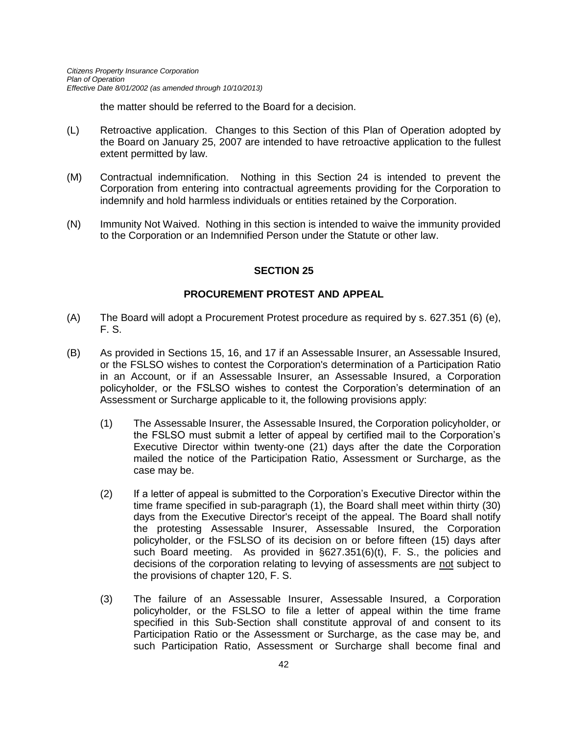the matter should be referred to the Board for a decision.

- (L) Retroactive application. Changes to this Section of this Plan of Operation adopted by the Board on January 25, 2007 are intended to have retroactive application to the fullest extent permitted by law.
- (M) Contractual indemnification. Nothing in this Section 24 is intended to prevent the Corporation from entering into contractual agreements providing for the Corporation to indemnify and hold harmless individuals or entities retained by the Corporation.
- (N) Immunity Not Waived. Nothing in this section is intended to waive the immunity provided to the Corporation or an Indemnified Person under the Statute or other law.

#### **SECTION 25**

#### **PROCUREMENT PROTEST AND APPEAL**

- (A) The Board will adopt a Procurement Protest procedure as required by s. 627.351 (6) (e), F. S.
- (B) As provided in Sections 15, 16, and 17 if an Assessable Insurer, an Assessable Insured, or the FSLSO wishes to contest the Corporation's determination of a Participation Ratio in an Account, or if an Assessable Insurer, an Assessable Insured, a Corporation policyholder, or the FSLSO wishes to contest the Corporation's determination of an Assessment or Surcharge applicable to it, the following provisions apply:
	- (1) The Assessable Insurer, the Assessable Insured, the Corporation policyholder, or the FSLSO must submit a letter of appeal by certified mail to the Corporation's Executive Director within twenty-one (21) days after the date the Corporation mailed the notice of the Participation Ratio, Assessment or Surcharge, as the case may be.
	- (2) If a letter of appeal is submitted to the Corporation's Executive Director within the time frame specified in sub-paragraph (1), the Board shall meet within thirty (30) days from the Executive Director's receipt of the appeal. The Board shall notify the protesting Assessable Insurer, Assessable Insured, the Corporation policyholder, or the FSLSO of its decision on or before fifteen (15) days after such Board meeting. As provided in §627.351(6)(t), F. S., the policies and decisions of the corporation relating to levying of assessments are not subject to the provisions of chapter 120, F. S.
	- (3) The failure of an Assessable Insurer, Assessable Insured, a Corporation policyholder, or the FSLSO to file a letter of appeal within the time frame specified in this Sub-Section shall constitute approval of and consent to its Participation Ratio or the Assessment or Surcharge, as the case may be, and such Participation Ratio, Assessment or Surcharge shall become final and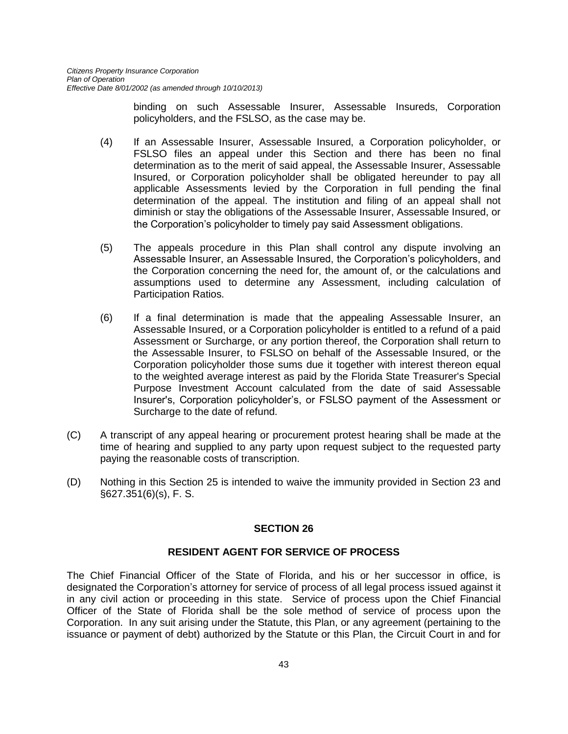binding on such Assessable Insurer, Assessable Insureds, Corporation policyholders, and the FSLSO, as the case may be.

- (4) If an Assessable Insurer, Assessable Insured, a Corporation policyholder, or FSLSO files an appeal under this Section and there has been no final determination as to the merit of said appeal, the Assessable Insurer, Assessable Insured, or Corporation policyholder shall be obligated hereunder to pay all applicable Assessments levied by the Corporation in full pending the final determination of the appeal. The institution and filing of an appeal shall not diminish or stay the obligations of the Assessable Insurer, Assessable Insured, or the Corporation's policyholder to timely pay said Assessment obligations.
- (5) The appeals procedure in this Plan shall control any dispute involving an Assessable Insurer, an Assessable Insured, the Corporation's policyholders, and the Corporation concerning the need for, the amount of, or the calculations and assumptions used to determine any Assessment, including calculation of Participation Ratios.
- (6) If a final determination is made that the appealing Assessable Insurer, an Assessable Insured, or a Corporation policyholder is entitled to a refund of a paid Assessment or Surcharge, or any portion thereof, the Corporation shall return to the Assessable Insurer, to FSLSO on behalf of the Assessable Insured, or the Corporation policyholder those sums due it together with interest thereon equal to the weighted average interest as paid by the Florida State Treasurer's Special Purpose Investment Account calculated from the date of said Assessable Insurer's, Corporation policyholder's, or FSLSO payment of the Assessment or Surcharge to the date of refund.
- (C) A transcript of any appeal hearing or procurement protest hearing shall be made at the time of hearing and supplied to any party upon request subject to the requested party paying the reasonable costs of transcription.
- (D) Nothing in this Section 25 is intended to waive the immunity provided in Section 23 and §627.351(6)(s), F. S.

#### **SECTION 26**

#### **RESIDENT AGENT FOR SERVICE OF PROCESS**

The Chief Financial Officer of the State of Florida, and his or her successor in office, is designated the Corporation's attorney for service of process of all legal process issued against it in any civil action or proceeding in this state. Service of process upon the Chief Financial Officer of the State of Florida shall be the sole method of service of process upon the Corporation. In any suit arising under the Statute, this Plan, or any agreement (pertaining to the issuance or payment of debt) authorized by the Statute or this Plan, the Circuit Court in and for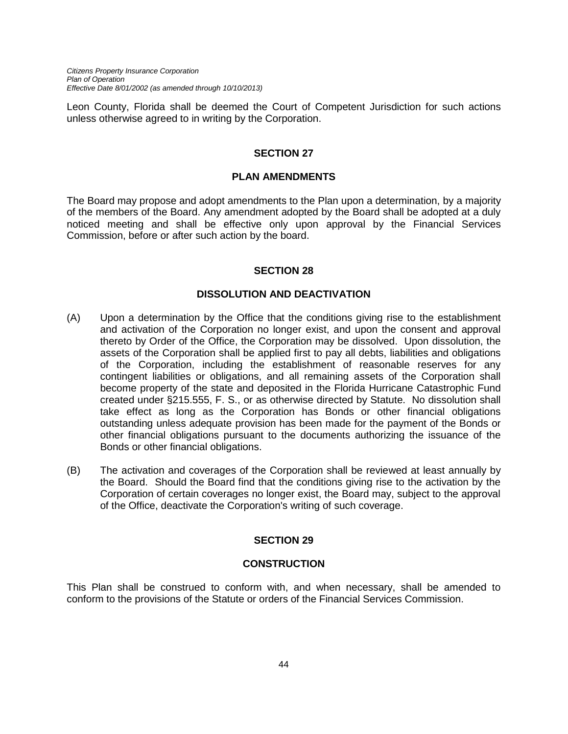*Citizens Property Insurance Corporation Plan of Operation Effective Date 8/01/2002 (as amended through 10/10/2013)*

Leon County, Florida shall be deemed the Court of Competent Jurisdiction for such actions unless otherwise agreed to in writing by the Corporation.

#### **SECTION 27**

#### **PLAN AMENDMENTS**

The Board may propose and adopt amendments to the Plan upon a determination, by a majority of the members of the Board. Any amendment adopted by the Board shall be adopted at a duly noticed meeting and shall be effective only upon approval by the Financial Services Commission, before or after such action by the board.

#### **SECTION 28**

#### **DISSOLUTION AND DEACTIVATION**

- (A) Upon a determination by the Office that the conditions giving rise to the establishment and activation of the Corporation no longer exist, and upon the consent and approval thereto by Order of the Office, the Corporation may be dissolved. Upon dissolution, the assets of the Corporation shall be applied first to pay all debts, liabilities and obligations of the Corporation, including the establishment of reasonable reserves for any contingent liabilities or obligations, and all remaining assets of the Corporation shall become property of the state and deposited in the Florida Hurricane Catastrophic Fund created under §215.555, F. S., or as otherwise directed by Statute. No dissolution shall take effect as long as the Corporation has Bonds or other financial obligations outstanding unless adequate provision has been made for the payment of the Bonds or other financial obligations pursuant to the documents authorizing the issuance of the Bonds or other financial obligations.
- (B) The activation and coverages of the Corporation shall be reviewed at least annually by the Board. Should the Board find that the conditions giving rise to the activation by the Corporation of certain coverages no longer exist, the Board may, subject to the approval of the Office, deactivate the Corporation's writing of such coverage.

## **SECTION 29**

#### **CONSTRUCTION**

This Plan shall be construed to conform with, and when necessary, shall be amended to conform to the provisions of the Statute or orders of the Financial Services Commission.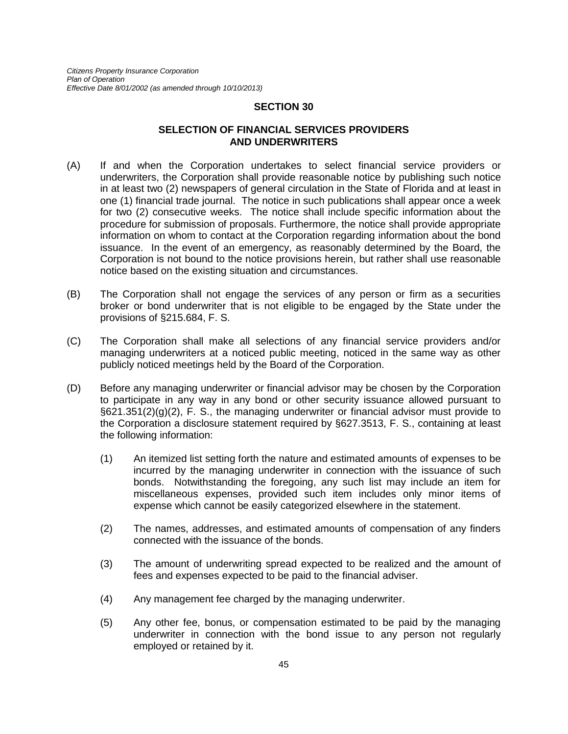#### **SECTION 30**

#### **SELECTION OF FINANCIAL SERVICES PROVIDERS AND UNDERWRITERS**

- (A) If and when the Corporation undertakes to select financial service providers or underwriters, the Corporation shall provide reasonable notice by publishing such notice in at least two (2) newspapers of general circulation in the State of Florida and at least in one (1) financial trade journal. The notice in such publications shall appear once a week for two (2) consecutive weeks. The notice shall include specific information about the procedure for submission of proposals. Furthermore, the notice shall provide appropriate information on whom to contact at the Corporation regarding information about the bond issuance. In the event of an emergency, as reasonably determined by the Board, the Corporation is not bound to the notice provisions herein, but rather shall use reasonable notice based on the existing situation and circumstances.
- (B) The Corporation shall not engage the services of any person or firm as a securities broker or bond underwriter that is not eligible to be engaged by the State under the provisions of §215.684, F. S.
- (C) The Corporation shall make all selections of any financial service providers and/or managing underwriters at a noticed public meeting, noticed in the same way as other publicly noticed meetings held by the Board of the Corporation.
- (D) Before any managing underwriter or financial advisor may be chosen by the Corporation to participate in any way in any bond or other security issuance allowed pursuant to §621.351(2)(g)(2), F. S., the managing underwriter or financial advisor must provide to the Corporation a disclosure statement required by §627.3513, F. S., containing at least the following information:
	- (1) An itemized list setting forth the nature and estimated amounts of expenses to be incurred by the managing underwriter in connection with the issuance of such bonds. Notwithstanding the foregoing, any such list may include an item for miscellaneous expenses, provided such item includes only minor items of expense which cannot be easily categorized elsewhere in the statement.
	- (2) The names, addresses, and estimated amounts of compensation of any finders connected with the issuance of the bonds.
	- (3) The amount of underwriting spread expected to be realized and the amount of fees and expenses expected to be paid to the financial adviser.
	- (4) Any management fee charged by the managing underwriter.
	- (5) Any other fee, bonus, or compensation estimated to be paid by the managing underwriter in connection with the bond issue to any person not regularly employed or retained by it.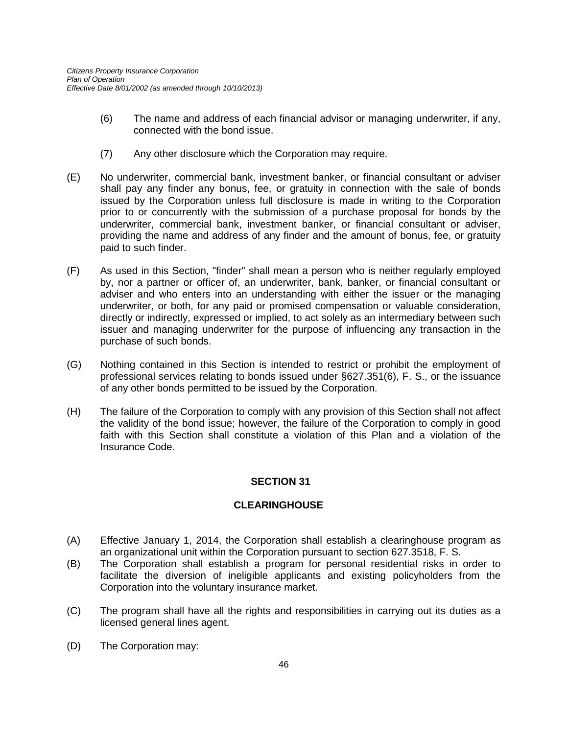- (6) The name and address of each financial advisor or managing underwriter, if any, connected with the bond issue.
- (7) Any other disclosure which the Corporation may require.
- (E) No underwriter, commercial bank, investment banker, or financial consultant or adviser shall pay any finder any bonus, fee, or gratuity in connection with the sale of bonds issued by the Corporation unless full disclosure is made in writing to the Corporation prior to or concurrently with the submission of a purchase proposal for bonds by the underwriter, commercial bank, investment banker, or financial consultant or adviser, providing the name and address of any finder and the amount of bonus, fee, or gratuity paid to such finder.
- (F) As used in this Section, "finder" shall mean a person who is neither regularly employed by, nor a partner or officer of, an underwriter, bank, banker, or financial consultant or adviser and who enters into an understanding with either the issuer or the managing underwriter, or both, for any paid or promised compensation or valuable consideration, directly or indirectly, expressed or implied, to act solely as an intermediary between such issuer and managing underwriter for the purpose of influencing any transaction in the purchase of such bonds.
- (G) Nothing contained in this Section is intended to restrict or prohibit the employment of professional services relating to bonds issued under §627.351(6), F. S., or the issuance of any other bonds permitted to be issued by the Corporation.
- (H) The failure of the Corporation to comply with any provision of this Section shall not affect the validity of the bond issue; however, the failure of the Corporation to comply in good faith with this Section shall constitute a violation of this Plan and a violation of the Insurance Code.

## **SECTION 31**

## **CLEARINGHOUSE**

- (A) Effective January 1, 2014, the Corporation shall establish a clearinghouse program as an organizational unit within the Corporation pursuant to section 627.3518, F. S.
- (B) The Corporation shall establish a program for personal residential risks in order to facilitate the diversion of ineligible applicants and existing policyholders from the Corporation into the voluntary insurance market.
- (C) The program shall have all the rights and responsibilities in carrying out its duties as a licensed general lines agent.
- (D) The Corporation may: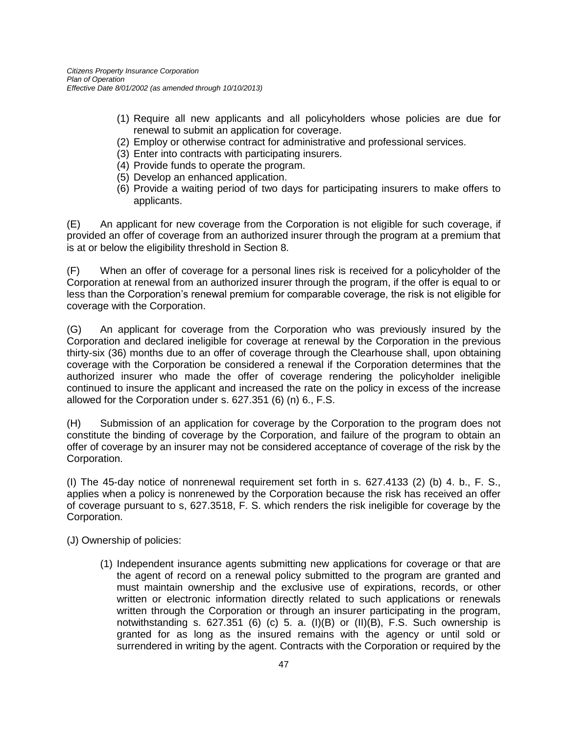- (1) Require all new applicants and all policyholders whose policies are due for renewal to submit an application for coverage.
- (2) Employ or otherwise contract for administrative and professional services.
- (3) Enter into contracts with participating insurers.
- (4) Provide funds to operate the program.
- (5) Develop an enhanced application.
- (6) Provide a waiting period of two days for participating insurers to make offers to applicants.

(E) An applicant for new coverage from the Corporation is not eligible for such coverage, if provided an offer of coverage from an authorized insurer through the program at a premium that is at or below the eligibility threshold in Section 8.

(F) When an offer of coverage for a personal lines risk is received for a policyholder of the Corporation at renewal from an authorized insurer through the program, if the offer is equal to or less than the Corporation's renewal premium for comparable coverage, the risk is not eligible for coverage with the Corporation.

(G) An applicant for coverage from the Corporation who was previously insured by the Corporation and declared ineligible for coverage at renewal by the Corporation in the previous thirty-six (36) months due to an offer of coverage through the Clearhouse shall, upon obtaining coverage with the Corporation be considered a renewal if the Corporation determines that the authorized insurer who made the offer of coverage rendering the policyholder ineligible continued to insure the applicant and increased the rate on the policy in excess of the increase allowed for the Corporation under s. 627.351 (6) (n) 6., F.S.

(H) Submission of an application for coverage by the Corporation to the program does not constitute the binding of coverage by the Corporation, and failure of the program to obtain an offer of coverage by an insurer may not be considered acceptance of coverage of the risk by the Corporation.

(I) The 45-day notice of nonrenewal requirement set forth in s. 627.4133 (2) (b) 4. b., F. S., applies when a policy is nonrenewed by the Corporation because the risk has received an offer of coverage pursuant to s, 627.3518, F. S. which renders the risk ineligible for coverage by the Corporation.

(J) Ownership of policies:

(1) Independent insurance agents submitting new applications for coverage or that are the agent of record on a renewal policy submitted to the program are granted and must maintain ownership and the exclusive use of expirations, records, or other written or electronic information directly related to such applications or renewals written through the Corporation or through an insurer participating in the program, notwithstanding s.  $627.351$  (6) (c) 5. a. (I)(B) or (II)(B), F.S. Such ownership is granted for as long as the insured remains with the agency or until sold or surrendered in writing by the agent. Contracts with the Corporation or required by the